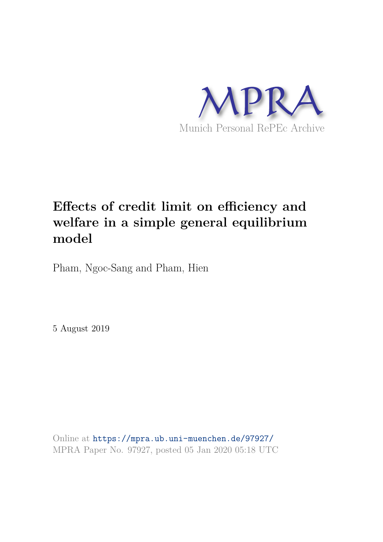

# **Effects of credit limit on efficiency and welfare in a simple general equilibrium model**

Pham, Ngoc-Sang and Pham, Hien

5 August 2019

Online at https://mpra.ub.uni-muenchen.de/97927/ MPRA Paper No. 97927, posted 05 Jan 2020 05:18 UTC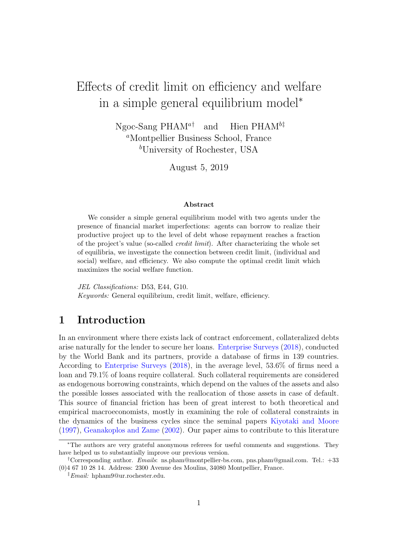# Effects of credit limit on efficiency and welfare in a simple general equilibrium model<sup>∗</sup>

Ngoc-Sang PHAM<sup>a†</sup> and Hien PHAM<sup>b‡</sup> <sup>a</sup>Montpellier Business School, France <sup>b</sup>University of Rochester, USA

August 5, 2019

#### Abstract

We consider a simple general equilibrium model with two agents under the presence of financial market imperfections: agents can borrow to realize their productive project up to the level of debt whose repayment reaches a fraction of the project's value (so-called credit limit). After characterizing the whole set of equilibria, we investigate the connection between credit limit, (individual and social) welfare, and efficiency. We also compute the optimal credit limit which maximizes the social welfare function.

JEL Classifications: D53, E44, G10. Keywords: General equilibrium, credit limit, welfare, efficiency.

# 1 Introduction

In an environment where there exists lack of contract enforcement, collateralized debts arise naturally for the lender to secure her loans. Enterprise Surveys (2018), conducted by the World Bank and its partners, provide a database of firms in 139 countries. According to Enterprise Surveys (2018), in the average level, 53.6% of firms need a loan and 79.1% of loans require collateral. Such collateral requirements are considered as endogenous borrowing constraints, which depend on the values of the assets and also the possible losses associated with the reallocation of those assets in case of default. This source of financial friction has been of great interest to both theoretical and empirical macroeconomists, mostly in examining the role of collateral constraints in the dynamics of the business cycles since the seminal papers Kiyotaki and Moore (1997), Geanakoplos and Zame (2002). Our paper aims to contribute to this literature

<sup>∗</sup>The authors are very grateful anonymous referees for useful comments and suggestions. They have helped us to substantially improve our previous version.

<sup>†</sup>Corresponding author. Emails: ns.pham@montpellier-bs.com, pns.pham@gmail.com. Tel.: +33 (0)4 67 10 28 14. Address: 2300 Avenue des Moulins, 34080 Montpellier, France.

<sup>‡</sup>Email: hpham9@ur.rochester.edu.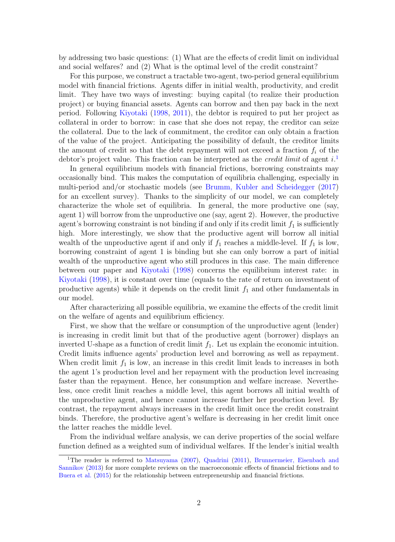by addressing two basic questions: (1) What are the effects of credit limit on individual and social welfares? and (2) What is the optimal level of the credit constraint?

For this purpose, we construct a tractable two-agent, two-period general equilibrium model with financial frictions. Agents differ in initial wealth, productivity, and credit limit. They have two ways of investing: buying capital (to realize their production project) or buying financial assets. Agents can borrow and then pay back in the next period. Following Kiyotaki (1998, 2011), the debtor is required to put her project as collateral in order to borrow: in case that she does not repay, the creditor can seize the collateral. Due to the lack of commitment, the creditor can only obtain a fraction of the value of the project. Anticipating the possibility of default, the creditor limits the amount of credit so that the debt repayment will not exceed a fraction  $f_i$  of the debtor's project value. This fraction can be interpreted as the *credit limit* of agent  $i$ <sup>1</sup>

In general equilibrium models with financial frictions, borrowing constraints may occasionally bind. This makes the computation of equilibria challenging, especially in multi-period and/or stochastic models (see Brumm, Kubler and Scheidegger (2017) for an excellent survey). Thanks to the simplicity of our model, we can completely characterize the whole set of equilibria. In general, the more productive one (say, agent 1) will borrow from the unproductive one (say, agent 2). However, the productive agent's borrowing constraint is not binding if and only if its credit limit  $f_1$  is sufficiently high. More interestingly, we show that the productive agent will borrow all initial wealth of the unproductive agent if and only if  $f_1$  reaches a middle-level. If  $f_1$  is low, borrowing constraint of agent 1 is binding but she can only borrow a part of initial wealth of the unproductive agent who still produces in this case. The main difference between our paper and Kiyotaki (1998) concerns the equilibrium interest rate: in Kiyotaki (1998), it is constant over time (equals to the rate of return on investment of productive agents) while it depends on the credit limit  $f_1$  and other fundamentals in our model.

After characterizing all possible equilibria, we examine the effects of the credit limit on the welfare of agents and equilibrium efficiency.

First, we show that the welfare or consumption of the unproductive agent (lender) is increasing in credit limit but that of the productive agent (borrower) displays an inverted U-shape as a function of credit limit  $f_1$ . Let us explain the economic intuition. Credit limits influence agents' production level and borrowing as well as repayment. When credit limit  $f_1$  is low, an increase in this credit limit leads to increases in both the agent 1's production level and her repayment with the production level increasing faster than the repayment. Hence, her consumption and welfare increase. Nevertheless, once credit limit reaches a middle level, this agent borrows all initial wealth of the unproductive agent, and hence cannot increase further her production level. By contrast, the repayment always increases in the credit limit once the credit constraint binds. Therefore, the productive agent's welfare is decreasing in her credit limit once the latter reaches the middle level.

From the individual welfare analysis, we can derive properties of the social welfare function defined as a weighted sum of individual welfares. If the lender's initial wealth

<sup>&</sup>lt;sup>1</sup>The reader is referred to Matsuyama (2007), Quadrini (2011), Brunnermeier, Eisenbach and Sannikov (2013) for more complete reviews on the macroeconomic effects of financial frictions and to Buera et al. (2015) for the relationship between entrepreneurship and financial frictions.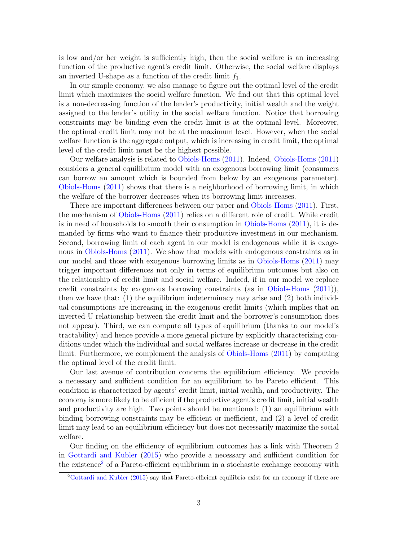is low and/or her weight is sufficiently high, then the social welfare is an increasing function of the productive agent's credit limit. Otherwise, the social welfare displays an inverted U-shape as a function of the credit limit  $f_1$ .

In our simple economy, we also manage to figure out the optimal level of the credit limit which maximizes the social welfare function. We find out that this optimal level is a non-decreasing function of the lender's productivity, initial wealth and the weight assigned to the lender's utility in the social welfare function. Notice that borrowing constraints may be binding even the credit limit is at the optimal level. Moreover, the optimal credit limit may not be at the maximum level. However, when the social welfare function is the aggregate output, which is increasing in credit limit, the optimal level of the credit limit must be the highest possible.

Our welfare analysis is related to Obiols-Homs (2011). Indeed, Obiols-Homs (2011) considers a general equilibrium model with an exogenous borrowing limit (consumers can borrow an amount which is bounded from below by an exogenous parameter). Obiols-Homs (2011) shows that there is a neighborhood of borrowing limit, in which the welfare of the borrower decreases when its borrowing limit increases.

There are important differences between our paper and Obiols-Homs (2011). First, the mechanism of Obiols-Homs (2011) relies on a different role of credit. While credit is in need of households to smooth their consumption in Obiols-Homs (2011), it is demanded by firms who want to finance their productive investment in our mechanism. Second, borrowing limit of each agent in our model is endogenous while it is exogenous in Obiols-Homs (2011). We show that models with endogenous constraints as in our model and those with exogenous borrowing limits as in Obiols-Homs (2011) may trigger important differences not only in terms of equilibrium outcomes but also on the relationship of credit limit and social welfare. Indeed, if in our model we replace credit constraints by exogenous borrowing constraints (as in Obiols-Homs (2011)), then we have that: (1) the equilibrium indeterminacy may arise and (2) both individual consumptions are increasing in the exogenous credit limits (which implies that an inverted-U relationship between the credit limit and the borrower's consumption does not appear). Third, we can compute all types of equilibrium (thanks to our model's tractability) and hence provide a more general picture by explicitly characterizing conditions under which the individual and social welfares increase or decrease in the credit limit. Furthermore, we complement the analysis of Obiols-Homs (2011) by computing the optimal level of the credit limit.

Our last avenue of contribution concerns the equilibrium efficiency. We provide a necessary and sufficient condition for an equilibrium to be Pareto efficient. This condition is characterized by agents' credit limit, initial wealth, and productivity. The economy is more likely to be efficient if the productive agent's credit limit, initial wealth and productivity are high. Two points should be mentioned: (1) an equilibrium with binding borrowing constraints may be efficient or inefficient, and (2) a level of credit limit may lead to an equilibrium efficiency but does not necessarily maximize the social welfare.

Our finding on the efficiency of equilibrium outcomes has a link with Theorem 2 in Gottardi and Kubler (2015) who provide a necessary and sufficient condition for the existence<sup>2</sup> of a Pareto-efficient equilibrium in a stochastic exchange economy with

<sup>2</sup>Gottardi and Kubler (2015) say that Pareto-efficient equilibria exist for an economy if there are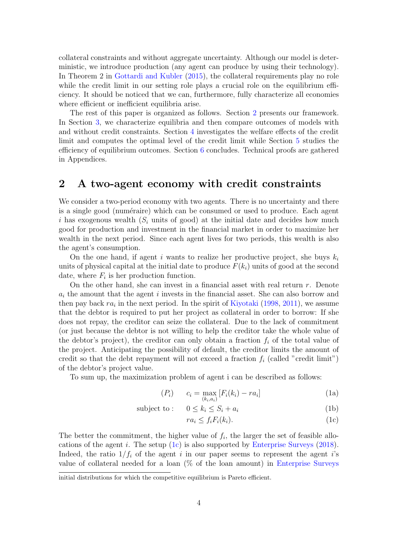collateral constraints and without aggregate uncertainty. Although our model is deterministic, we introduce production (any agent can produce by using their technology). In Theorem 2 in Gottardi and Kubler (2015), the collateral requirements play no role while the credit limit in our setting role plays a crucial role on the equilibrium efficiency. It should be noticed that we can, furthermore, fully characterize all economies where efficient or inefficient equilibria arise.

The rest of this paper is organized as follows. Section 2 presents our framework. In Section 3, we characterize equilibria and then compare outcomes of models with and without credit constraints. Section 4 investigates the welfare effects of the credit limit and computes the optimal level of the credit limit while Section 5 studies the efficiency of equilibrium outcomes. Section 6 concludes. Technical proofs are gathered in Appendices.

## 2 A two-agent economy with credit constraints

We consider a two-period economy with two agents. There is no uncertainty and there is a single good (numéraire) which can be consumed or used to produce. Each agent i has exogenous wealth  $(S_i$  units of good) at the initial date and decides how much good for production and investment in the financial market in order to maximize her wealth in the next period. Since each agent lives for two periods, this wealth is also the agent's consumption.

On the one hand, if agent i wants to realize her productive project, she buys  $k_i$ units of physical capital at the initial date to produce  $F(k<sub>i</sub>)$  units of good at the second date, where  $F_i$  is her production function.

On the other hand, she can invest in a financial asset with real return  $r$ . Denote  $a_i$  the amount that the agent i invests in the financial asset. She can also borrow and then pay back  $ra_i$  in the next period. In the spirit of Kiyotaki (1998, 2011), we assume that the debtor is required to put her project as collateral in order to borrow: If she does not repay, the creditor can seize the collateral. Due to the lack of commitment (or just because the debtor is not willing to help the creditor take the whole value of the debtor's project), the creditor can only obtain a fraction  $f_i$  of the total value of the project. Anticipating the possibility of default, the creditor limits the amount of credit so that the debt repayment will not exceed a fraction  $f_i$  (called "credit limit") of the debtor's project value.

To sum up, the maximization problem of agent i can be described as follows:

$$
(P_i) \t c_i = \max_{(k_i, a_i)} [F_i(k_i) - ra_i]
$$
\n(1a)

$$
subject to: \quad 0 \le k_i \le S_i + a_i \tag{1b}
$$

$$
ra_i \le f_i F_i(k_i). \tag{1c}
$$

The better the commitment, the higher value of  $f_i$ , the larger the set of feasible allocations of the agent i. The setup (1c) is also supported by Enterprise Surveys (2018). Indeed, the ratio  $1/f_i$  of the agent i in our paper seems to represent the agent i's value of collateral needed for a loan  $(\%$  of the loan amount) in Enterprise Surveys

initial distributions for which the competitive equilibrium is Pareto efficient.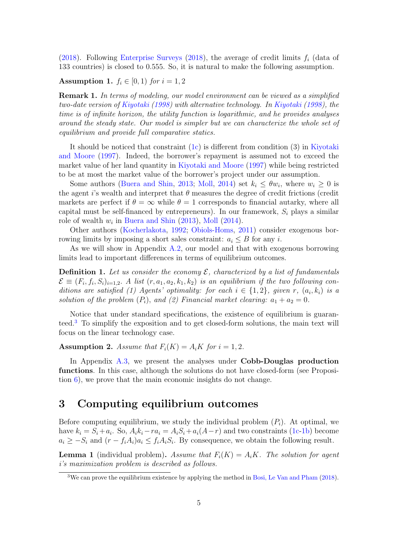(2018). Following Enterprise Surveys (2018), the average of credit limits  $f_i$  (data of 133 countries) is closed to 0.555. So, it is natural to make the following assumption.

Assumption 1.  $f_i \in [0,1)$  for  $i = 1,2$ 

Remark 1. In terms of modeling, our model environment can be viewed as a simplified two-date version of Kiyotaki (1998) with alternative technology. In Kiyotaki (1998), the time is of infinite horizon, the utility function is logarithmic, and he provides analyses around the steady state. Our model is simpler but we can characterize the whole set of equilibrium and provide full comparative statics.

It should be noticed that constraint (1c) is different from condition (3) in Kiyotaki and Moore (1997). Indeed, the borrower's repayment is assumed not to exceed the market value of her land quantity in Kiyotaki and Moore (1997) while being restricted to be at most the market value of the borrower's project under our assumption.

Some authors (Buera and Shin, 2013; Moll, 2014) set  $k_i \leq \theta w_i$ , where  $w_i \geq 0$  is the agent i's wealth and interpret that  $\theta$  measures the degree of credit frictions (credit markets are perfect if  $\theta = \infty$  while  $\theta = 1$  corresponds to financial autarky, where all capital must be self-financed by entrepreneurs). In our framework,  $S_i$  plays a similar role of wealth  $w_i$  in Buera and Shin (2013), Moll (2014).

Other authors (Kocherlakota, 1992; Obiols-Homs, 2011) consider exogenous borrowing limits by imposing a short sales constraint:  $a_i \leq B$  for any i.

As we will show in Appendix A.2, our model and that with exogenous borrowing limits lead to important differences in terms of equilibrium outcomes.

**Definition 1.** Let us consider the economy  $\mathcal{E}$ , characterized by a list of fundamentals  $\mathcal{E} \equiv (F_i, f_i, S_i)_{i=1,2}$ . A list  $(r, a_1, a_2, k_1, k_2)$  is an equilibrium if the two following conditions are satisfied (1) Agents' optimality: for each  $i \in \{1,2\}$ , given r,  $(a_i, k_i)$  is a solution of the problem  $(P_i)$ , and  $(2)$  Financial market clearing:  $a_1 + a_2 = 0$ .

Notice that under standard specifications, the existence of equilibrium is guaranteed.<sup>3</sup> To simplify the exposition and to get closed-form solutions, the main text will focus on the linear technology case.

Assumption 2. Assume that  $F_i(K) = A_iK$  for  $i = 1, 2$ .

In Appendix A.3, we present the analyses under Cobb-Douglas production functions. In this case, although the solutions do not have closed-form (see Proposition 6), we prove that the main economic insights do not change.

# 3 Computing equilibrium outcomes

Before computing equilibrium, we study the individual problem  $(P_i)$ . At optimal, we have  $k_i = S_i + a_i$ . So,  $A_i k_i - r a_i = A_i S_i + a_i (A - r)$  and two constraints (1c-1b) become  $a_i \geq -S_i$  and  $(r - f_i A_i)a_i \leq f_i A_i S_i$ . By consequence, we obtain the following result.

**Lemma 1** (individual problem). Assume that  $F_i(K) = A_iK$ . The solution for agent i's maximization problem is described as follows.

<sup>3</sup>We can prove the equilibrium existence by applying the method in Bosi, Le Van and Pham (2018).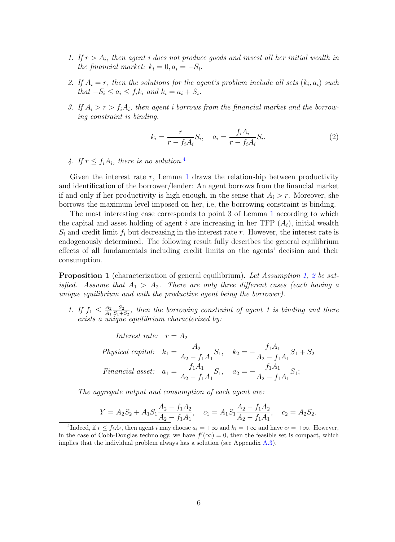- 1. If  $r > A_i$ , then agent i does not produce goods and invest all her initial wealth in the financial market:  $k_i = 0, a_i = -S_i$ .
- 2. If  $A_i = r$ , then the solutions for the agent's problem include all sets  $(k_i, a_i)$  such that  $-S_i \leq a_i \leq f_i k_i$  and  $k_i = a_i + S_i$ .
- 3. If  $A_i > r > f_i A_i$ , then agent i borrows from the financial market and the borrowing constraint is binding.

$$
k_i = \frac{r}{r - f_i A_i} S_i, \quad a_i = \frac{f_i A_i}{r - f_i A_i} S_i.
$$
 (2)

4. If  $r \leq f_i A_i$ , there is no solution.<sup>4</sup>

Given the interest rate r, Lemma 1 draws the relationship between productivity and identification of the borrower/lender: An agent borrows from the financial market if and only if her productivity is high enough, in the sense that  $A_i > r$ . Moreover, she borrows the maximum level imposed on her, i.e, the borrowing constraint is binding.

The most interesting case corresponds to point 3 of Lemma 1 according to which the capital and asset holding of agent i are increasing in her TFP  $(A_i)$ , initial wealth  $S_i$  and credit limit  $f_i$  but decreasing in the interest rate r. However, the interest rate is endogenously determined. The following result fully describes the general equilibrium effects of all fundamentals including credit limits on the agents' decision and their consumption.

**Proposition 1** (characterization of general equilibrium). Let Assumption 1, 2 be satisfied. Assume that  $A_1 > A_2$ . There are only three different cases (each having a unique equilibrium and with the productive agent being the borrower).

- 1. If  $f_1 \n\leq \frac{A_2}{A_1}$  $A_1$  $\scriptstyle S_2$  $\frac{S_2}{S_1+S_2}$ , then the borrowing constraint of agent 1 is binding and there exists a unique equilibrium characterized by:
	- Interest rate:  $r = A_2$ Physical capital:  $k_1 =$  $A_2$  $A_2 - f_1 A_1$  $S_1, k_2 =$  $f_1A_1$  $A_2 - f_1 A_1$  $S_1 + S_2$ Financial asset:  $a_1 =$  $f_1A_1$  $A_2 - f_1 A_1$  $S_1, \quad a_2 =$  $f_1A_1$  $A_2 - f_1 A_1$  $S_1;$

The aggregate output and consumption of each agent are:

$$
Y = A_2S_2 + A_1S_1\frac{A_2 - f_1A_2}{A_2 - f_1A_1}, \quad c_1 = A_1S_1\frac{A_2 - f_1A_2}{A_2 - f_1A_1}, \quad c_2 = A_2S_2.
$$

<sup>&</sup>lt;sup>4</sup>Indeed, if  $r \le f_i A_i$ , then agent i may choose  $a_i = +\infty$  and  $k_i = +\infty$  and have  $c_i = +\infty$ . However, in the case of Cobb-Douglas technology, we have  $f'(\infty) = 0$ , then the feasible set is compact, which implies that the individual problem always has a solution (see Appendix A.3).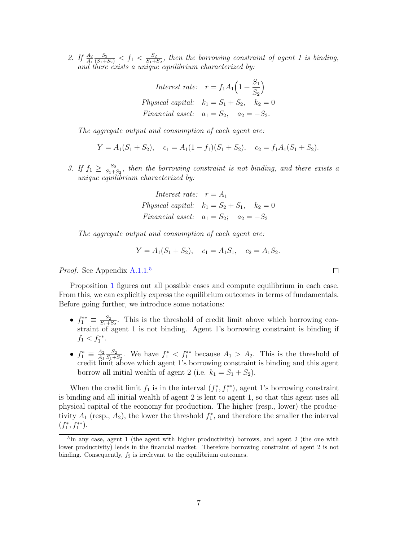2. If  $\frac{A_2}{A_1}$  $\frac{S_2}{(S_1+S_2)} < f_1 < \frac{S_2}{S_1+S_2}$  $\frac{S_2}{S_1+S_2}$ , then the borrowing constraint of agent 1 is binding, and there exists a unique equilibrium characterized by:

Interest rate: 
$$
r = f_1 A_1 \left( 1 + \frac{S_1}{S_2} \right)
$$
  
Physical capital:  $k_1 = S_1 + S_2$ ,  $k_2 = 0$   
Financial asset:  $a_1 = S_2$ ,  $a_2 = -S_2$ .

The aggregate output and consumption of each agent are:

$$
Y = A_1(S_1 + S_2), \quad c_1 = A_1(1 - f_1)(S_1 + S_2), \quad c_2 = f_1 A_1(S_1 + S_2).
$$

3. If  $f_1 \geq \frac{S_2}{S_1+}$  $\frac{S_2}{S_1+S_2}$ , then the borrowing constraint is not binding, and there exists a unique  $e\ddot{q}u$ ilibrium characterized by:

Interest rate: 
$$
r = A_1
$$
  
Physical capital:  $k_1 = S_2 + S_1$ ,  $k_2 = 0$   
Financial asset:  $a_1 = S_2$ ;  $a_2 = -S_2$ 

The aggregate output and consumption of each agent are:

$$
Y = A_1(S_1 + S_2), \quad c_1 = A_1 S_1, \quad c_2 = A_1 S_2.
$$

Proof. See Appendix A.1.1.<sup>5</sup>

Proposition 1 figures out all possible cases and compute equilibrium in each case. From this, we can explicitly express the equilibrium outcomes in terms of fundamentals. Before going further, we introduce some notations:

- $f_1^{**} \equiv \frac{S_2}{S_1 + S_2}$  $\frac{S_2}{S_1+S_2}$ . This is the threshold of credit limit above which borrowing constraint of agent 1 is not binding. Agent 1's borrowing constraint is binding if  $f_1 < f_1^{**}.$
- $\bullet$   $f_1^* \equiv \frac{A_2}{A_1}$  $A_1$  $\scriptstyle S_2$  $\frac{S_2}{S_1+S_2}$ . We have  $f_1^* < f_1^{**}$  because  $A_1 > A_2$ . This is the threshold of credit limit above which agent 1's borrowing constraint is binding and this agent borrow all initial wealth of agent 2 (i.e.  $k_1 = S_1 + S_2$ ).

When the credit limit  $f_1$  is in the interval  $(f_1^*, f_1^{**})$ , agent 1's borrowing constraint is binding and all initial wealth of agent 2 is lent to agent 1, so that this agent uses all physical capital of the economy for production. The higher (resp., lower) the productivity  $A_1$  (resp.,  $A_2$ ), the lower the threshold  $f_1^*$ , and therefore the smaller the interval  $(f_1^*, f_1^{**}).$ 

 $\Box$ 

<sup>&</sup>lt;sup>5</sup>In any case, agent 1 (the agent with higher productivity) borrows, and agent 2 (the one with lower productivity) lends in the financial market. Therefore borrowing constraint of agent 2 is not binding. Consequently,  $f_2$  is irrelevant to the equilibrium outcomes.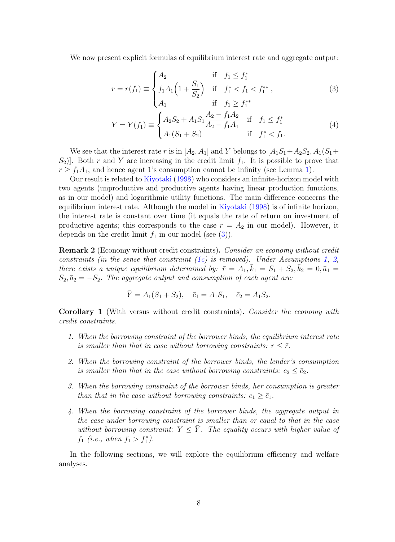We now present explicit formulas of equilibrium interest rate and aggregate output:

$$
r = r(f_1) \equiv \begin{cases} A_2 & \text{if } f_1 \le f_1^* \\ f_1 A_1 \left( 1 + \frac{S_1}{S_2} \right) & \text{if } f_1^* < f_1 < f_1^{**} \\ A_1 & \text{if } f_1 \ge f_1^{**} \end{cases} \tag{3}
$$

$$
Y = Y(f_1) \equiv \begin{cases} A_2 S_2 + A_1 S_1 \frac{A_2 - f_1 A_2}{A_2 - f_1 A_1} & \text{if } f_1 \le f_1^* \\ A_1 (S_1 + S_2) & \text{if } f_1^* < f_1. \end{cases} \tag{4}
$$

We see that the interest rate r is in  $[A_2, A_1]$  and Y belongs to  $[A_1S_1+A_2S_2, A_1(S_1+A_2S_3, A_1S_1)]$  $S_2$ ]. Both r and Y are increasing in the credit limit  $f_1$ . It is possible to prove that  $r \ge f_1A_1$ , and hence agent 1's consumption cannot be infinity (see Lemma 1).

Our result is related to Kiyotaki (1998) who considers an infinite-horizon model with two agents (unproductive and productive agents having linear production functions, as in our model) and logarithmic utility functions. The main difference concerns the equilibrium interest rate. Although the model in Kiyotaki (1998) is of infinite horizon, the interest rate is constant over time (it equals the rate of return on investment of productive agents; this corresponds to the case  $r = A_2$  in our model). However, it depends on the credit limit  $f_1$  in our model (see (3)).

Remark 2 (Economy without credit constraints). Consider an economy without credit constraints (in the sense that constraint  $(1c)$  is removed). Under Assumptions 1, 2, there exists a unique equilibrium determined by:  $\bar{r} = A_1, \bar{k}_1 = S_1 + S_2, \bar{k}_2 = 0, \bar{a}_1 =$  $S_2, \bar{a}_2 = -S_2$ . The aggregate output and consumption of each agent are:

$$
\overline{Y} = A_1(S_1 + S_2), \quad \overline{c}_1 = A_1S_1, \quad \overline{c}_2 = A_1S_2.
$$

**Corollary 1** (With versus without credit constraints). Consider the economy with credit constraints.

- 1. When the borrowing constraint of the borrower binds, the equilibrium interest rate is smaller than that in case without borrowing constraints:  $r < \bar{r}$ .
- 2. When the borrowing constraint of the borrower binds, the lender's consumption is smaller than that in the case without borrowing constraints:  $c_2 \leq \bar{c}_2$ .
- 3. When the borrowing constraint of the borrower binds, her consumption is greater than that in the case without borrowing constraints:  $c_1 \geq \bar{c}_1$ .
- 4. When the borrowing constraint of the borrower binds, the aggregate output in the case under borrowing constraint is smaller than or equal to that in the case without borrowing constraint:  $Y \leq \overline{Y}$ . The equality occurs with higher value of  $f_1$  (*i.e.*, when  $f_1 > f_1^*$ ).

In the following sections, we will explore the equilibrium efficiency and welfare analyses.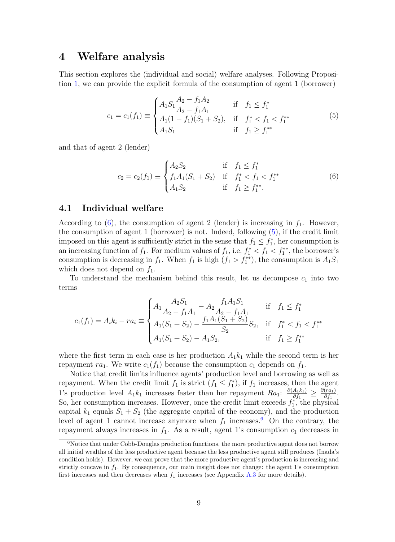# 4 Welfare analysis

This section explores the (individual and social) welfare analyses. Following Proposition 1, we can provide the explicit formula of the consumption of agent 1 (borrower)

$$
c_1 = c_1(f_1) \equiv \begin{cases} A_1 S_1 \frac{A_2 - f_1 A_2}{A_2 - f_1 A_1} & \text{if } f_1 \le f_1^* \\ A_1 (1 - f_1)(S_1 + S_2), & \text{if } f_1^* < f_1 < f_1^{**} \\ A_1 S_1 & \text{if } f_1 \ge f_1^{**} \end{cases} \tag{5}
$$

and that of agent 2 (lender)

$$
c_2 = c_2(f_1) \equiv \begin{cases} A_2 S_2 & \text{if } f_1 \le f_1^* \\ f_1 A_1 (S_1 + S_2) & \text{if } f_1^* < f_1 < f_1^{**} \\ A_1 S_2 & \text{if } f_1 \ge f_1^{**} . \end{cases} \tag{6}
$$

### 4.1 Individual welfare

According to  $(6)$ , the consumption of agent 2 (lender) is increasing in  $f_1$ . However, the consumption of agent 1 (borrower) is not. Indeed, following (5), if the credit limit imposed on this agent is sufficiently strict in the sense that  $f_1 \n\t\leq f_1^*$ , her consumption is an increasing function of  $f_1$ . For medium values of  $f_1$ , i.e,  $f_1^* < f_1 < f_1^{**}$ , the borrower's consumption is decreasing in  $f_1$ . When  $f_1$  is high  $(f_1 > f_1^{**})$ , the consumption is  $A_1S_1$ which does not depend on  $f_1$ .

To understand the mechanism behind this result, let us decompose  $c_1$  into two terms

$$
c_1(f_1) = A_i k_i - r a_i \equiv \begin{cases} A_1 \frac{A_2 S_1}{A_2 - f_1 A_1} - A_2 \frac{f_1 A_1 S_1}{A_2 - f_1 A_1} & \text{if } f_1 \le f_1^* \\ A_1 (S_1 + S_2) - \frac{f_1 A_1 (S_1 + S_2)}{S_2} S_2, & \text{if } f_1^* < f_1 < f_1^{**} \\ A_1 (S_1 + S_2) - A_1 S_2, & \text{if } f_1 \ge f_1^{**} \end{cases}
$$

where the first term in each case is her production  $A_1k_1$  while the second term is her repayment ra<sub>1</sub>. We write  $c_1(f_1)$  because the consumption  $c_1$  depends on  $f_1$ .

Notice that credit limits influence agents' production level and borrowing as well as repayment. When the credit limit  $f_1$  is strict  $(f_1 \leq f_1^*)$ , if  $f_1$  increases, then the agent 1's production level  $A_1k_1$  increases faster than her repayment  $Ra_1: \frac{\partial (A_1k_1)}{\partial f_1}$  $\frac{A_1k_1)}{\partial f_1}\geq\frac{\partial (ra_1)}{\partial f_1}$  $\frac{(ra_1)}{\partial f_1}.$ So, her consumption increases. However, once the credit limit exceeds  $f_1^*$ , the physical capital  $k_1$  equals  $S_1 + S_2$  (the aggregate capital of the economy), and the production level of agent 1 cannot increase anymore when  $f_1$  increases.<sup>6</sup> On the contrary, the repayment always increases in  $f_1$ . As a result, agent 1's consumption  $c_1$  decreases in

 $6$ Notice that under Cobb-Douglas production functions, the more productive agent does not borrow all initial wealths of the less productive agent because the less productive agent still produces (Inada's condition holds). However, we can prove that the more productive agent's production is increasing and strictly concave in  $f_1$ . By consequence, our main insight does not change: the agent 1's consumption first increases and then decreases when  $f_1$  increases (see Appendix A.3 for more details).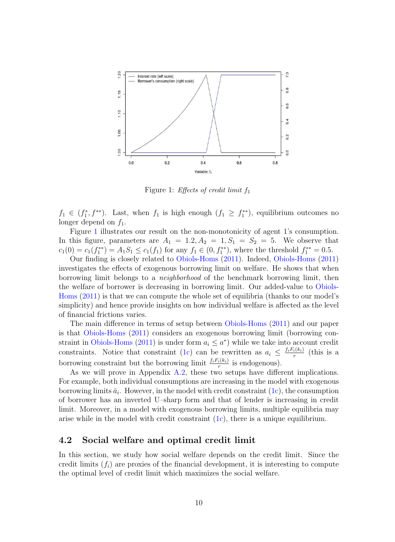

Figure 1: *Effects of credit limit*  $f_1$ 

 $f_1 \in (f_1^*, f^{**})$ . Last, when  $f_1$  is high enough  $(f_1 \geq f_1^{**})$ , equilibrium outcomes no longer depend on  $f_1$ .

Figure 1 illustrates our result on the non-monotonicity of agent 1's consumption. In this figure, parameters are  $A_1 = 1.2, A_2 = 1, S_1 = S_2 = 5$ . We observe that  $c_1(0) = c_1(f_1^{**}) = A_1S_1 \leq c_1(f_1)$  for any  $f_1 \in (0, f_1^{**})$ , where the threshold  $f_1^{**} = 0.5$ .

Our finding is closely related to Obiols-Homs (2011). Indeed, Obiols-Homs (2011) investigates the effects of exogenous borrowing limit on welfare. He shows that when borrowing limit belongs to a neighborhood of the benchmark borrowing limit, then the welfare of borrower is decreasing in borrowing limit. Our added-value to Obiols-Homs (2011) is that we can compute the whole set of equilibria (thanks to our model's simplicity) and hence provide insights on how individual welfare is affected as the level of financial frictions varies.

The main difference in terms of setup between Obiols-Homs (2011) and our paper is that Obiols-Homs (2011) considers an exogenous borrowing limit (borrowing constraint in Obiols-Homs (2011) is under form  $a_i \leq a^*$ ) while we take into account credit constraints. Notice that constraint (1c) can be rewritten as  $a_i \leq \frac{f_i F_i(k_i)}{r}$  $\frac{i(k_i)}{r}$  (this is a borrowing constraint but the borrowing limit  $\frac{f_i F_i(k_i)}{r}$  is endogenous).

As we will prove in Appendix A.2, these two setups have different implications. For example, both individual consumptions are increasing in the model with exogenous borrowing limits  $\bar{a}_i$ . However, in the model with credit constraint  $(1c)$ , the consumption of borrower has an inverted U–sharp form and that of lender is increasing in credit limit. Moreover, in a model with exogenous borrowing limits, multiple equilibria may arise while in the model with credit constraint  $(1c)$ , there is a unique equilibrium.

### 4.2 Social welfare and optimal credit limit

In this section, we study how social welfare depends on the credit limit. Since the credit limits  $(f_i)$  are proxies of the financial development, it is interesting to compute the optimal level of credit limit which maximizes the social welfare.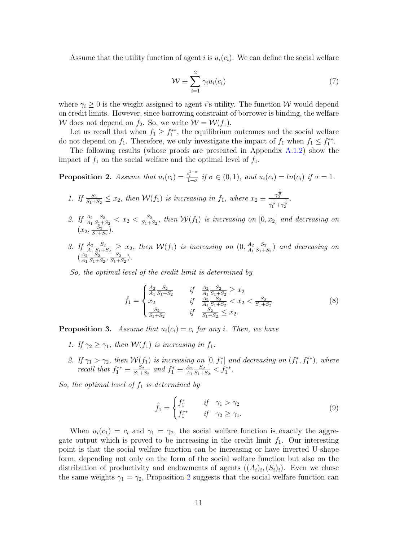Assume that the utility function of agent i is  $u_i(c_i)$ . We can define the social welfare

$$
\mathcal{W} \equiv \sum_{i=1}^{2} \gamma_i u_i(c_i) \tag{7}
$$

where  $\gamma_i \geq 0$  is the weight assigned to agent i's utility. The function W would depend on credit limits. However, since borrowing constraint of borrower is binding, the welfare W does not depend on  $f_2$ . So, we write  $W = \mathcal{W}(f_1)$ .

Let us recall that when  $f_1 \geq f_1^{**}$ , the equilibrium outcomes and the social welfare do not depend on  $f_1$ . Therefore, we only investigate the impact of  $f_1$  when  $f_1 \n\t\leq f_1^{**}$ .

The following results (whose proofs are presented in Appendix A.1.2) show the impact of  $f_1$  on the social welfare and the optimal level of  $f_1$ .

**Proposition 2.** Assume that  $u_i(c_i) = \frac{c_i^{1-\sigma}}{1-\sigma}$  if  $\sigma \in (0,1)$ , and  $u_i(c_i) = \ln(c_i)$  if  $\sigma = 1$ .

1. If 
$$
\frac{S_2}{S_1+S_2} \le x_2
$$
, then  $\mathcal{W}(f_1)$  is increasing in  $f_1$ , where  $x_2 \equiv \frac{\frac{1}{\gamma_2^{\sigma}}}{\gamma_1^{\frac{1}{\sigma}} + \gamma_2^{\frac{1}{\sigma}}}$ .

- 2. If  $\frac{A_2}{A_1}$  $\scriptstyle S_2$  $\frac{S_2}{S_1+S_2} < x_2 < \frac{S_2}{S_1+1}$  $\frac{S_2}{S_1+S_2}$ , then  $\mathcal{W}(f_1)$  is increasing on  $[0,x_2]$  and decreasing on  $(x_2, \frac{S_2}{S_1+})$  $\frac{S_2}{S_1+S_2}$ .
- 3. If  $\frac{A_2}{A_1}$  $\scriptstyle S_2$  $\frac{S_2}{S_1+S_2} \geq x_2$ , then  $\mathcal{W}(f_1)$  is increasing on  $(0, \frac{A_2}{A_1})$  $A<sub>1</sub>$  $\scriptstyle S_2$  $\frac{S_2}{S_1+S_2}$ ) and decreasing on  $\left(\frac{A_2}{A_1}\right)$  $A_1$  $\scriptstyle S_2$  $\frac{S_2}{S_1+S_2}, \frac{S_2}{S_1+S_2}$  $\frac{S_2}{S_1+S_2}$ .

So, the optimal level of the credit limit is determined by

$$
\hat{f}_1 = \begin{cases}\n\frac{A_2}{A_1} \frac{S_2}{S_1 + S_2} & \text{if} \quad \frac{A_2}{A_1} \frac{S_2}{S_1 + S_2} \ge x_2 \\
x_2 & \text{if} \quad \frac{A_2}{A_1} \frac{S_2}{S_1 + S_2} < x_2 < \frac{S_2}{S_1 + S_2} \\
\frac{S_2}{S_1 + S_2} & \text{if} \quad \frac{S_2}{S_1 + S_2} \le x_2.\n\end{cases} \tag{8}
$$

**Proposition 3.** Assume that  $u_i(c_i) = c_i$  for any i. Then, we have

- 1. If  $\gamma_2 > \gamma_1$ , then  $W(f_1)$  is increasing in  $f_1$ .
- 2. If  $\gamma_1 > \gamma_2$ , then  $\mathcal{W}(f_1)$  is increasing on  $[0, f_1^*]$  and decreasing on  $(f_1^*, f_1^{**})$ , where recall that  $f_1^{**} \equiv \frac{S_2}{S_1 + S_2}$  $\frac{S_2}{S_1 + S_2}$  and  $f_1^* \equiv \frac{A_2}{A_1}$  $A_1$  $\scriptstyle S_2$  $\frac{S_2}{S_1+S_2} < f_1^{**}.$

So, the optimal level of  $f_1$  is determined by

$$
\hat{f}_1 = \begin{cases} f_1^* & \text{if } \gamma_1 > \gamma_2 \\ f_1^{**} & \text{if } \gamma_2 \ge \gamma_1. \end{cases} \tag{9}
$$

When  $u_i(c_1) = c_i$  and  $\gamma_1 = \gamma_2$ , the social welfare function is exactly the aggregate output which is proved to be increasing in the credit limit  $f_1$ . Our interesting point is that the social welfare function can be increasing or have inverted U-shape form, depending not only on the form of the social welfare function but also on the distribution of productivity and endowments of agents  $((A_i)_i, (S_i)_i)$ . Even we chose the same weights  $\gamma_1 = \gamma_2$ , Proposition 2 suggests that the social welfare function can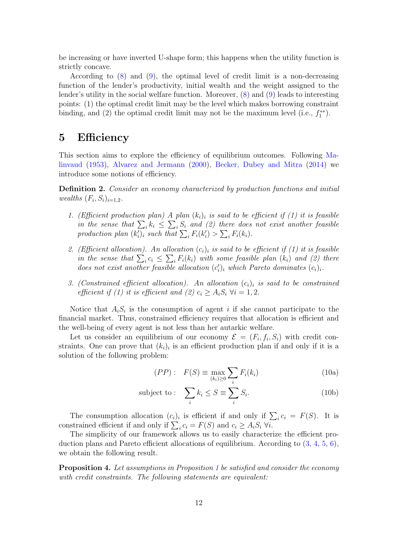be increasing or have inverted U-shape form; this happens when the utility function is strictly concave.

According to (8) and (9), the optimal level of credit limit is a non-decreasing function of the lender's productivity, initial wealth and the weight assigned to the lender's utility in the social welfare function. Moreover, (8) and (9) leads to interesting points: (1) the optimal credit limit may be the level which makes borrowing constraint binding, and (2) the optimal credit limit may not be the maximum level (i.e.,  $f_1^{**}$ ).

## 5 Efficiency

This section aims to explore the efficiency of equilibrium outcomes. Following Malinvaud (1953), Alvarez and Jermann (2000), Becker, Dubey and Mitra (2014) we introduce some notions of efficiency.

Definition 2. Consider an economy characterized by production functions and initial wealths  $(F_i, S_i)_{i=1,2}$ .

- 1. (Efficient production plan) A plan  $(k_i)_i$  is said to be efficient if (1) it is feasible in the sense that  $\sum_i k_i \leq \sum_i S_i$  and (2) there does not exist another feasible production plan  $(k'_i)_i$  such that  $\sum_i F_i(k'_i) > \sum_i F_i(k_i)$ .
- 2. (Efficient allocation). An allocation  $(c_i)_i$  is said to be efficient if (1) it is feasible in the sense that  $\sum_i c_i \leq \sum_i F_i(k_i)$  with some feasible plan  $(k_i)$  and  $(2)$  there does not exist another feasible allocation  $(c_i')$  which Pareto dominates  $(c_i)_i$ .
- 3. (Constrained efficient allocation). An allocation  $(c_i)_i$  is said to be constrained efficient if (1) it is efficient and (2)  $c_i \geq A_i S_i \ \forall i = 1, 2$ .

Notice that  $A_i S_i$  is the consumption of agent i if she cannot participate to the financial market. Thus, constrained efficiency requires that allocation is efficient and the well-being of every agent is not less than her autarkic welfare.

Let us consider an equilibrium of our economy  $\mathcal{E} = (F_i, f_i, S_i)$  with credit constraints. One can prove that  $(k_i)_i$  is an efficient production plan if and only if it is a solution of the following problem:

$$
(PP): \quad F(S) \equiv \max_{(k_i)\geq 0} \sum_i F_i(k_i) \tag{10a}
$$

subject to: 
$$
\sum_{i} k_i \leq S \equiv \sum_{i} S_i.
$$
 (10b)

The consumption allocation  $(c_i)_i$  is efficient if and only if  $\sum_i c_i = F(S)$ . It is constrained efficient if and only if  $\sum_i c_i = F(S)$  and  $c_i \ge A_i S_i \,\forall i$ .

The simplicity of our framework allows us to easily characterize the efficient production plans and Pareto efficient allocations of equilibrium. According to (3, 4, 5, 6), we obtain the following result.

Proposition 4. Let assumptions in Proposition 1 be satisfied and consider the economy with credit constraints. The following statements are equivalent: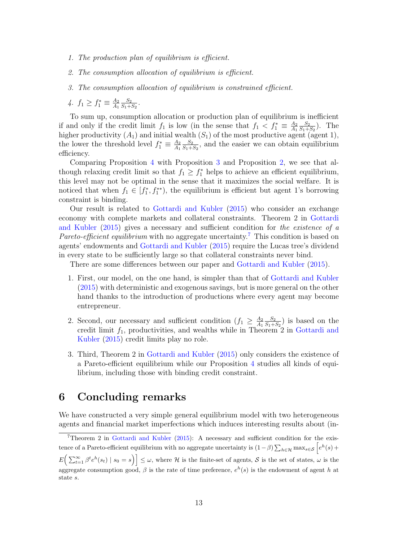- 1. The production plan of equilibrium is efficient.
- 2. The consumption allocation of equilibrium is efficient.
- 3. The consumption allocation of equilibrium is constrained efficient.
- 4.  $f_1 \geq f_1^* \equiv \frac{A_2}{A_1}$  $A_1$  $\scriptstyle S_2$  $\frac{S_2}{S_1+S_2}$  .

To sum up, consumption allocation or production plan of equilibrium is inefficient if and only if the credit limit  $f_1$  is low (in the sense that  $f_1 < f_1^* \equiv \frac{A_2}{A_1}$  $A_1$  $\scriptstyle S_2$  $\frac{S_2}{S_1+S_2}$ ). The higher productivity  $(A_1)$  and initial wealth  $(S_1)$  of the most productive agent (agent 1), the lower the threshold level  $f_1^* \equiv \frac{A_2}{A_1}$  $A_1$  $\scriptstyle S_2$  $\frac{S_2}{S_1+S_2}$ , and the easier we can obtain equilibrium efficiency.

Comparing Proposition 4 with Proposition 3 and Proposition 2, we see that although relaxing credit limit so that  $f_1 \geq f_1^*$  helps to achieve an efficient equilibrium, this level may not be optimal in the sense that it maximizes the social welfare. It is noticed that when  $f_1 \in [f_1^*, f_1^{**})$ , the equilibrium is efficient but agent 1's borrowing constraint is binding.

Our result is related to Gottardi and Kubler (2015) who consider an exchange economy with complete markets and collateral constraints. Theorem 2 in Gottardi and Kubler (2015) gives a necessary and sufficient condition for the existence of a Pareto-efficient equilibrium with no aggregate uncertainty.<sup>7</sup> This condition is based on agents' endowments and Gottardi and Kubler (2015) require the Lucas tree's dividend in every state to be sufficiently large so that collateral constraints never bind.

There are some differences between our paper and Gottardi and Kubler (2015).

- 1. First, our model, on the one hand, is simpler than that of Gottardi and Kubler (2015) with deterministic and exogenous savings, but is more general on the other hand thanks to the introduction of productions where every agent may become entrepreneur.
- 2. Second, our necessary and sufficient condition  $(f_1 \geq \frac{A_2}{A_1})$  $A_1$  $S_{2}$  $\frac{S_2}{S_1+S_2}$ ) is based on the credit limit  $f_1$ , productivities, and wealths while in Theorem 2 in Gottardi and Kubler (2015) credit limits play no role.
- 3. Third, Theorem 2 in Gottardi and Kubler (2015) only considers the existence of a Pareto-efficient equilibrium while our Proposition 4 studies all kinds of equilibrium, including those with binding credit constraint.

# 6 Concluding remarks

We have constructed a very simple general equilibrium model with two heterogeneous agents and financial market imperfections which induces interesting results about (in-

<sup>7</sup>Theorem 2 in Gottardi and Kubler (2015): A necessary and sufficient condition for the existence of a Pareto-efficient equilibrium with no aggregate uncertainty is  $(1-\beta)\sum_{h\in\mathcal{H}} \max_{s\in\mathcal{S}} \left[ e^h(s) + \right]$  $E\left(\sum_{t=1}^{\infty} \beta^t e^h(s_t) \mid s_0 = s\right)\right] \leq \omega$ , where H is the finite-set of agents, S is the set of states,  $\omega$  is the aggregate consumption good,  $\beta$  is the rate of time preference,  $e^h(s)$  is the endowment of agent h at state s.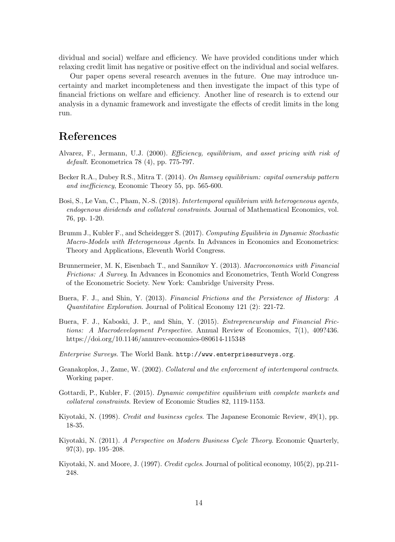dividual and social) welfare and efficiency. We have provided conditions under which relaxing credit limit has negative or positive effect on the individual and social welfares.

Our paper opens several research avenues in the future. One may introduce uncertainty and market incompleteness and then investigate the impact of this type of financial frictions on welfare and efficiency. Another line of research is to extend our analysis in a dynamic framework and investigate the effects of credit limits in the long run.

# References

- Alvarez, F., Jermann, U.J. (2000). Efficiency, equilibrium, and asset pricing with risk of default. Econometrica 78 (4), pp. 775-797.
- Becker R.A., Dubey R.S., Mitra T. (2014). On Ramsey equilibrium: capital ownership pattern and inefficiency, Economic Theory 55, pp. 565-600.
- Bosi, S., Le Van, C., Pham, N.-S. (2018). Intertemporal equilibrium with heterogeneous agents, endogenous dividends and collateral constraints. Journal of Mathematical Economics, vol. 76, pp. 1-20.
- Brumm J., Kubler F., and Scheidegger S. (2017). Computing Equilibria in Dynamic Stochastic Macro-Models with Heterogeneous Agents. In Advances in Economics and Econometrics: Theory and Applications, Eleventh World Congress.
- Brunnermeier, M. K, Eisenbach T., and Sannikov Y. (2013). Macroeconomics with Financial Frictions: A Survey. In Advances in Economics and Econometrics, Tenth World Congress of the Econometric Society. New York: Cambridge University Press.
- Buera, F. J., and Shin, Y. (2013). Financial Frictions and the Persistence of History: A Quantitative Exploration. Journal of Political Economy 121 (2): 221-72.
- Buera, F. J., Kaboski, J. P., and Shin, Y. (2015). Entrepreneurship and Financial Frictions: A Macrodevelopment Perspective. Annual Review of Economics, 7(1), 409?436. https://doi.org/10.1146/annurev-economics-080614-115348
- Enterprise Surveys. The World Bank. http://www.enterprisesurveys.org.
- Geanakoplos, J., Zame, W. (2002). Collateral and the enforcement of intertemporal contracts. Working paper.
- Gottardi, P., Kubler, F. (2015). Dynamic competitive equilibrium with complete markets and collateral constraints. Review of Economic Studies 82, 1119-1153.
- Kiyotaki, N. (1998). Credit and business cycles. The Japanese Economic Review, 49(1), pp. 18-35.
- Kiyotaki, N. (2011). A Perspective on Modern Business Cycle Theory. Economic Quarterly, 97(3), pp. 195–208.
- Kiyotaki, N. and Moore, J. (1997). Credit cycles. Journal of political economy, 105(2), pp.211- 248.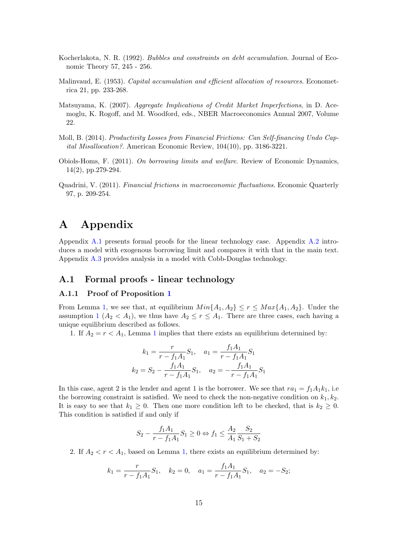- Kocherlakota, N. R. (1992). Bubbles and constraints on debt accumulation. Journal of Economic Theory 57, 245 - 256.
- Malinvaud, E. (1953). Capital accumulation and efficient allocation of resources. Econometrica 21, pp. 233-268.
- Matsuyama, K. (2007). Aggregate Implications of Credit Market Imperfections, in D. Acemoglu, K. Rogoff, and M. Woodford, eds., NBER Macroeconomics Annual 2007, Volume 22.
- Moll, B. (2014). Productivity Losses from Financial Frictions: Can Self-financing Undo Capital Misallocation?. American Economic Review, 104(10), pp. 3186-3221.
- Obiols-Homs, F. (2011). On borrowing limits and welfare. Review of Economic Dynamics, 14(2), pp.279-294.
- Quadrini, V. (2011). Financial frictions in macroeconomic fluctuations. Economic Quarterly 97, p. 209-254.

# A Appendix

Appendix A.1 presents formal proofs for the linear technology case. Appendix A.2 introduces a model with exogenous borrowing limit and compares it with that in the main text. Appendix A.3 provides analysis in a model with Cobb-Douglas technology.

### A.1 Formal proofs - linear technology

#### A.1.1 Proof of Proposition 1

From Lemma 1, we see that, at equilibrium  $Min\{A_1, A_2\} \leq r \leq Max\{A_1, A_2\}$ . Under the assumption 1  $(A_2 < A_1)$ , we thus have  $A_2 \le r \le A_1$ . There are three cases, each having a unique equilibrium described as follows.

1. If  $A_2 = r < A_1$ , Lemma 1 implies that there exists an equilibrium determined by:

$$
k_1 = \frac{r}{r - f_1 A_1} S_1, \quad a_1 = \frac{f_1 A_1}{r - f_1 A_1} S_1
$$

$$
k_2 = S_2 - \frac{f_1 A_1}{r - f_1 A_1} S_1, \quad a_2 = -\frac{f_1 A_1}{r - f_1 A_1} S_1
$$

In this case, agent 2 is the lender and agent 1 is the borrower. We see that  $ra_1 = f_1A_1k_1$ , i.e. the borrowing constraint is satisfied. We need to check the non-negative condition on  $k_1, k_2$ . It is easy to see that  $k_1 \geq 0$ . Then one more condition left to be checked, that is  $k_2 \geq 0$ . This condition is satisfied if and only if

$$
S_2 - \frac{f_1 A_1}{r - f_1 A_1} S_1 \ge 0 \Leftrightarrow f_1 \le \frac{A_2}{A_1} \frac{S_2}{S_1 + S_2}
$$

2. If  $A_2 < r < A_1$ , based on Lemma 1, there exists an equilibrium determined by:

$$
k_1 = \frac{r}{r - f_1 A_1} S_1
$$
,  $k_2 = 0$ ,  $a_1 = \frac{f_1 A_1}{r - f_1 A_1} S_1$ ,  $a_2 = -S_2$ ;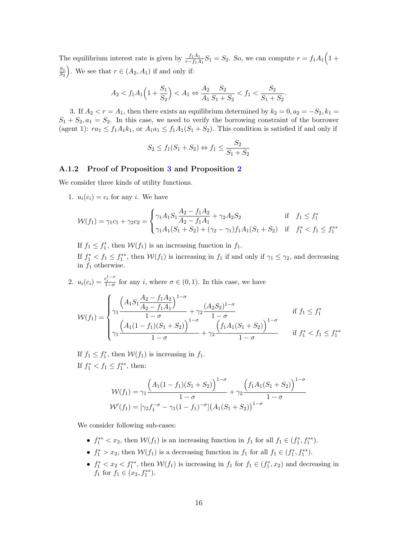The equilibrium interest rate is given by  $\frac{f_1 A_1}{r - f_1 A_1} S_1 = S_2$ . So, we can compute  $r = f_1 A_1 \left(1 + \frac{f_1 A_1}{r - f_1 A_1} \right)$  $S_1$  $\left(S_1\over S_2\right)$ . We see that  $r \in (A_2, A_1)$  if and only if:

$$
A_2 < f_1 A_1 \left( 1 + \frac{S_1}{S_2} \right) < A_1 \Leftrightarrow \frac{A_2}{A_1} \frac{S_2}{S_1 + S_2} < f_1 < \frac{S_2}{S_1 + S_2}.
$$

3. If  $A_2 < r = A_1$ , then there exists an equilibrium determined by  $k_2 = 0, a_2 = -S_2, k_1 =$  $S_1 + S_2, a_1 = S_2$ . In this case, we need to verify the borrowing constraint of the borrower (agent 1):  $ra_1 \n\t\leq f_1A_1k_1$ , or  $A_1a_1 \leq f_1A_1(S_1 + S_2)$ . This condition is satisfied if and only if

$$
S_2 \le f_1(S_1 + S_2) \Leftrightarrow f_1 \le \frac{S_2}{S_1 + S_2}
$$

#### A.1.2 Proof of Proposition 3 and Proposition 2

We consider three kinds of utility functions.

1.  $u_i(c_i) = c_i$  for any *i*. We have

$$
\mathcal{W}(f_1) = \gamma_1 c_1 + \gamma_2 c_2 = \begin{cases} \gamma_1 A_1 S_1 \frac{A_2 - f_1 A_2}{A_2 - f_1 A_1} + \gamma_2 A_2 S_2 & \text{if } f_1 \le f_1^*\\ \gamma_1 A_1 (S_1 + S_2) + (\gamma_2 - \gamma_1) f_1 A_1 (S_1 + S_2) & \text{if } f_1^* < f_1 \le f_1^* \end{cases}
$$

If  $f_1 \n\t\leq f_1^*$ , then  $\mathcal{W}(f_1)$  is an increasing function in  $f_1$ .

If  $f_1^* < f_1 \leq f_1^{**}$ , then  $W(f_1)$  is increasing in  $f_1$  if and only if  $\gamma_1 \leq \gamma_2$ , and decreasing in  $f_1$  otherwise.

2.  $u_i(c_i) = \frac{c_i^{1-\sigma}}{1-\sigma}$  for any i, where  $\sigma \in (0,1)$ . In this case, we have

$$
\mathcal{W}(f_1) = \begin{cases} \gamma_1 \frac{\left(A_1 S_1 \frac{A_2 - f_1 A_2}{A_2 - f_1 A_1}\right)^{1 - \sigma}}{1 - \sigma} + \gamma_2 \frac{(A_2 S_2)^{1 - \sigma}}{1 - \sigma} & \text{if } f_1 \le f_1^* \\ \gamma_1 \frac{\left(A_1 (1 - f_1)(S_1 + S_2)\right)^{1 - \sigma}}{1 - \sigma} + \gamma_2 \frac{\left(f_1 A_1 (S_1 + S_2)\right)^{1 - \sigma}}{1 - \sigma} & \text{if } f_1^* < f_1 \le f_1^{**} \end{cases}
$$

If  $f_1 \n\t\leq f_1^*$ , then  $W(f_1)$  is increasing in  $f_1$ . If  $f_1^* < f_1 \leq f_1^{**}$ , then:

$$
\mathcal{W}(f_1) = \gamma_1 \frac{\left(A_1(1 - f_1)(S_1 + S_2)\right)^{1 - \sigma}}{1 - \sigma} + \gamma_2 \frac{\left(f_1 A_1 (S_1 + S_2)\right)^{1 - \sigma}}{1 - \sigma}
$$

$$
\mathcal{W}'(f_1) = \left[\gamma_2 f_1^{-\sigma} - \gamma_1 (1 - f_1)^{-\sigma}\right] \left(A_1 (S_1 + S_2)\right)^{1 - \sigma}
$$

We consider following sub-cases:

- $f_1^{**} < x_2$ , then  $W(f_1)$  is an increasing function in  $f_1$  for all  $f_1 \in (f_1^*, f_1^{**})$ .
- $f_1^* > x_2$ , then  $W(f_1)$  is a decreasing function in  $f_1$  for all  $f_1 \in (f_1^*, f_1^{**}).$
- $f_1^* < x_2 < f_1^{**}$ , then  $W(f_1)$  is increasing in  $f_1$  for  $f_1 \in (f_1^*, x_2)$  and decreasing in  $f_1$  for  $f_1 \in (x_2, f_1^{**}).$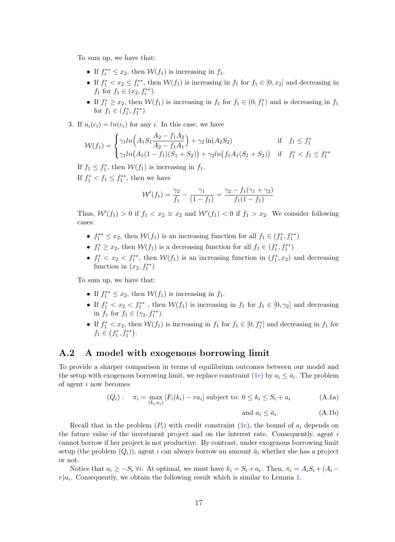To sum up, we have that:

- If  $f_i^{**} \leq x_2$ , then  $W(f_1)$  is increasing in  $f_1$ .
- If  $f_1^* < x_2 \leq f_i^{**}$ , then  $W(f_1)$  is increasing in  $f_1$  for  $f_1 \in [0, x_2]$  and decreasing in  $f_1$  for  $f_1 \in (x_2, f_i^{**}).$
- If  $f_1^* \ge x_2$ , then  $W(f_1)$  is increasing in  $f_1$  for  $f_1 \in (0, f_1^*)$  and is decreasing in  $f_1$ for  $f_1 \in (f_1^*, f_1^{**})$
- 3. If  $u_i(c_i) = ln(c_i)$  for any i. In this case, we have

$$
\mathcal{W}(f_1) = \begin{cases} \gamma_1 ln\Big(A_1 S_1 \frac{A_2 - f_1 A_2}{A_2 - f_1 A_1}\Big) + \gamma_2 ln(A_2 S_2) & \text{if } f_1 \le f_1^*\\ \gamma_1 ln\big(A_1 (1 - f_1)(S_1 + S_2)\big) + \gamma_2 ln\big(f_1 A_1 (S_1 + S_2)\big) & \text{if } f_1^* < f_1 \le f_1^{**} \end{cases}
$$

If  $f_1 \leq f_1^*$ , then  $\mathcal{W}(f_1)$  is increasing in  $f_1$ . If  $f_1^* < f_1 \leq f_1^{**}$ , then we have

$$
\mathcal{W}'(f_1) = \frac{\gamma_2}{f_1} - \frac{\gamma_1}{(1 - f_1)} = \frac{\gamma_2 - f_1(\gamma_1 + \gamma_2)}{f_1(1 - f_1)}
$$

Thus,  $\mathcal{W}'(f_1) > 0$  if  $f_1 < x_2 \equiv x_2$  and  $\mathcal{W}'(f_1) < 0$  if  $f_1 > x_2$ . We consider following cases:

- $f_1^{**} \leq x_2$ , then  $W(f_1)$  is an increasing function for all  $f_1 \in (f_1^*, f_1^{**})$
- $f_1^* \ge x_2$ , then  $W(f_1)$  is a decreasing function for all  $f_1 \in (f_1^*, f_1^{**})$
- $f_1^* < x_2 < f_1^{**}$ , then  $W(f_1)$  is an increasing function in  $(f_1^*, x_2)$  and decreasing function in  $(x_2, f_1^{**})$

To sum up, we have that:

- If  $f_1^{**} \leq x_2$ , then  $W(f_1)$  is increasing in  $f_1$ .
- If  $f_1^* < x_2 < f_1^{**}$ , then  $W(f_1)$  is increasing in  $f_1$  for  $f_1 \in [0, \gamma_2]$  and decreasing in  $f_1$  for  $f_1 \in (\gamma_2, f_1^{**})$ .
- If  $f_1^* < x_2$ , then  $W(f_1)$  is increasing in  $f_1$  for  $f_1 \in [0, f_1^*]$  and decreasing in  $f_1$  for  $f_1 \in (f_1^*, f_1^{**}).$

### A.2 A model with exogenous borrowing limit

To provide a sharper comparison in terms of equilibrium outcomes between our model and the setup with exogenous borrowing limit, we replace constraint (1c) by  $a_i \leq \bar{a}_i$ . The problem of agent i now becomes

$$
(Q_i): \quad \pi_i = \max_{(k_i, a_i)} [F_i(k_i) - ra_i] \text{ subject to: } 0 \le k_i \le S_i + a_i \tag{A.1a}
$$

and 
$$
a_i \le \bar{a}_i
$$
. (A.1b)

Recall that in the problem  $(P_i)$  with credit constraint (1c), the bound of  $a_i$  depends on the future value of the investment project and on the interest rate. Consequently, agent  $i$ cannot borrow if her project is not productive. By contrast, under exogenous borrowing limit setup (the problem  $(Q_i)$ ), agent i can always borrow an amount  $\bar{a}_i$  whether she has a project or not.

Notice that  $a_i \geq -S_i \ \forall i$ . At optimal, we must have  $k_i = S_i + a_i$ . Then,  $\pi_i = A_i S_i + (A_i$  $r)a_i$ . Consequently, we obtain the following result which is similar to Lemma 1.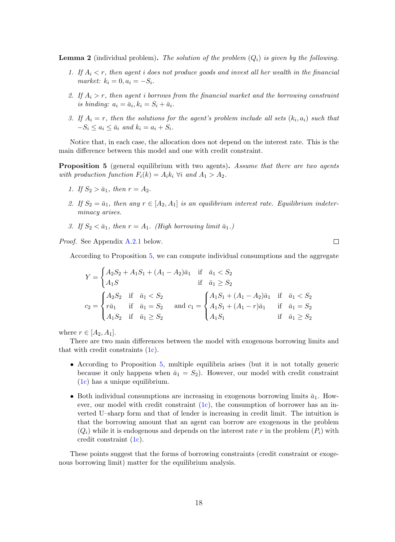**Lemma 2** (individual problem). The solution of the problem  $(Q_i)$  is given by the following.

- 1. If  $A_i < r$ , then agent i does not produce goods and invest all her wealth in the financial market:  $k_i = 0, a_i = -S_i$ .
- 2. If  $A_i > r$ , then agent i borrows from the financial market and the borrowing constraint is binding:  $a_i = \bar{a}_i, k_i = S_i + \bar{a}_i$ .
- 3. If  $A_i = r$ , then the solutions for the agent's problem include all sets  $(k_i, a_i)$  such that  $-S_i \leq a_i \leq \bar{a}_i$  and  $k_i = a_i + S_i$ .

Notice that, in each case, the allocation does not depend on the interest rate. This is the main difference between this model and one with credit constraint.

**Proposition 5** (general equilibrium with two agents). Assume that there are two agents with production function  $F_i(k) = A_i k_i \ \forall i$  and  $A_1 > A_2$ .

- 1. If  $S_2 > \bar{a}_1$ , then  $r = A_2$ .
- 2. If  $S_2 = \bar{a}_1$ , then any  $r \in [A_2, A_1]$  is an equilibrium interest rate. Equilibrium indeterminacy arises.
- 3. If  $S_2 < \bar{a}_1$ , then  $r = A_1$ . (High borrowing limit  $\bar{a}_1$ .)

Proof. See Appendix A.2.1 below.

According to Proposition 5, we can compute individual consumptions and the aggregate

 $\Box$ 

$$
Y = \begin{cases} A_2S_2 + A_1S_1 + (A_1 - A_2)\bar{a}_1 & \text{if } \bar{a}_1 < S_2 \\ A_1S & \text{if } \bar{a}_1 \geq S_2 \end{cases}
$$
  

$$
c_2 = \begin{cases} A_2S_2 & \text{if } \bar{a}_1 < S_2 \\ r\bar{a}_1 & \text{if } \bar{a}_1 = S_2 \\ A_1S_2 & \text{if } \bar{a}_1 \geq S_2 \end{cases} \text{ and } c_1 = \begin{cases} A_1S_1 + (A_1 - A_2)\bar{a}_1 & \text{if } \bar{a}_1 < S_2 \\ A_1S_1 + (A_1 - r)\bar{a}_1 & \text{if } \bar{a}_1 = S_2 \\ A_1S_1 & \text{if } \bar{a}_1 \geq S_2 \end{cases}
$$

where  $r \in [A_2, A_1]$ .

There are two main differences between the model with exogenous borrowing limits and that with credit constraints (1c).

- According to Proposition 5, multiple equilibria arises (but it is not totally generic because it only happens when  $\bar{a}_1 = S_2$ . However, our model with credit constraint (1c) has a unique equilibrium.
- Both individual consumptions are increasing in exogenous borrowing limits  $\bar{a}_1$ . However, our model with credit constraint (1c), the consumption of borrower has an inverted U–sharp form and that of lender is increasing in credit limit. The intuition is that the borrowing amount that an agent can borrow are exogenous in the problem  $(Q_i)$  while it is endogenous and depends on the interest rate r in the problem  $(P_i)$  with credit constraint (1c).

These points suggest that the forms of borrowing constraints (credit constraint or exogenous borrowing limit) matter for the equilibrium analysis.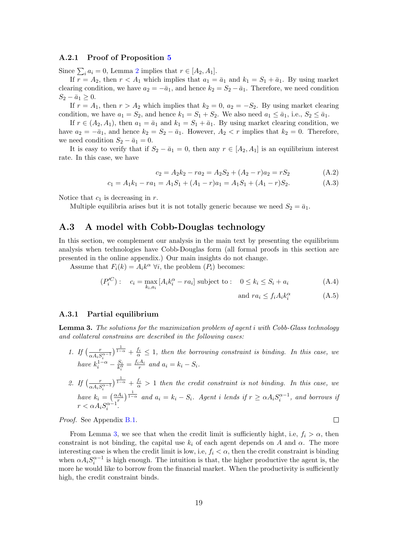#### A.2.1 Proof of Proposition 5

Since  $\sum_i a_i = 0$ , Lemma 2 implies that  $r \in [A_2, A_1]$ .

If  $r = A_2$ , then  $r < A_1$  which implies that  $a_1 = \bar{a}_1$  and  $k_1 = S_1 + \bar{a}_1$ . By using market clearing condition, we have  $a_2 = -\bar{a}_1$ , and hence  $k_2 = S_2 - \bar{a}_1$ . Therefore, we need condition  $S_2 - \bar{a}_1 \geq 0.$ 

If  $r = A_1$ , then  $r > A_2$  which implies that  $k_2 = 0$ ,  $a_2 = -S_2$ . By using market clearing condition, we have  $a_1 = S_2$ , and hence  $k_1 = S_1 + S_2$ . We also need  $a_1 \leq \bar{a}_1$ , i.e.,  $S_2 \leq \bar{a}_1$ .

If  $r \in (A_2, A_1)$ , then  $a_1 = \bar{a}_1$  and  $k_1 = S_1 + \bar{a}_1$ . By using market clearing condition, we have  $a_2 = -\bar{a}_1$ , and hence  $k_2 = S_2 - \bar{a}_1$ . However,  $A_2 < r$  implies that  $k_2 = 0$ . Therefore, we need condition  $S_2 - \bar{a}_1 = 0$ .

It is easy to verify that if  $S_2 - \bar{a}_1 = 0$ , then any  $r \in [A_2, A_1]$  is an equilibrium interest rate. In this case, we have

$$
c_2 = A_2 k_2 - r a_2 = A_2 S_2 + (A_2 - r) a_2 = r S_2 \tag{A.2}
$$

$$
c_1 = A_1 k_1 - r a_1 = A_1 S_1 + (A_1 - r) a_1 = A_1 S_1 + (A_1 - r) S_2.
$$
 (A.3)

Notice that  $c_1$  is decreasing in r.

Multiple equilibria arises but it is not totally generic because we need  $S_2 = \bar{a}_1$ .

#### A.3 A model with Cobb-Douglas technology

In this section, we complement our analysis in the main text by presenting the equilibrium analysis when technologies have Cobb-Douglas form (all formal proofs in this section are presented in the online appendix.) Our main insights do not change.

Assume that  $F_i(k) = A_i k^{\alpha} \ \forall i$ , the problem  $(P_i)$  becomes:

$$
(P_i^{IC}): \quad c_i = \max_{k_i, a_i} \left[ A_i k_i^{\alpha} - r a_i \right] \text{ subject to : } \quad 0 \le k_i \le S_i + a_i \tag{A.4}
$$

and 
$$
ra_i \leq f_i A_i k_i^{\alpha}
$$
 (A.5)

 $\Box$ 

#### A.3.1 Partial equilibrium

Lemma 3. The solutions for the maximization problem of agent i with Cobb-Glass technology and collateral constrains are described in the following cases:

- 1. If  $\left(\frac{r}{\cos 4r^2}\right)$  $\frac{r}{\alpha A_i S_i^{\alpha-1}}$   $\frac{1}{1-\alpha}$  +  $\frac{f_i}{\alpha} \leq 1$ , then the borrowing constraint is binding. In this case, we have  $k_i^{1-\alpha} - \frac{S_i}{k_i^{\alpha}} = \frac{f_i A_i}{r}$  and  $a_i = k_i - S_i$ .
- 2. If  $\left(\frac{r}{\alpha A_i S^{\alpha-1}}\right)^{\frac{1}{1-\alpha}} + \frac{f_i}{\alpha} > 1$  then the credit constraint is not binding. In this case, we  $\alpha A_i S_i^c$ have  $k_i = \left(\frac{\alpha A_i}{r}\right)^{\frac{1}{1-\alpha}}$  and  $a_i = k_i - S_i$ . Agent i lends if  $r \geq \alpha A_i S_i^{\alpha-1}$ , and borrows if  $r < \alpha A_i S_i^{\alpha - 1}$ .

Proof. See Appendix B.1.

From Lemma 3, we see that when the credit limit is sufficiently hight, i.e,  $f_i > \alpha$ , then constraint is not binding, the capital use  $k_i$  of each agent depends on A and  $\alpha$ . The more interesting case is when the credit limit is low, i.e,  $f_i < \alpha$ , then the credit constraint is binding when  $\alpha A_i S_i^{\alpha-1}$  is high enough. The intuition is that, the higher productive the agent is, the more he would like to borrow from the financial market. When the productivity is sufficiently high, the credit constraint binds.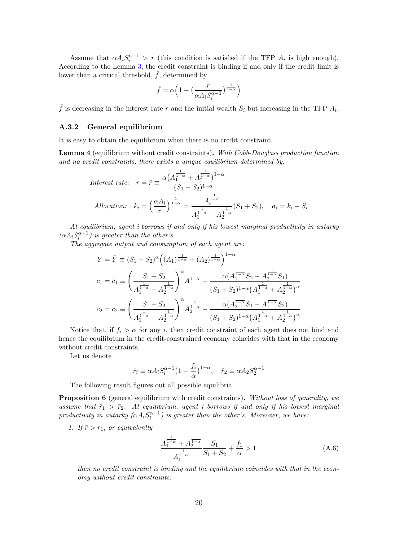Assume that  $\alpha A_i S_i^{\alpha-1} > r$  (this condition is satisfied if the TFP  $A_i$  is high enough). According to the Lemma 3, the credit constraint is binding if and only if the credit limit is lower than a critical threshold,  $\bar{f}$ , determined by

$$
\bar{f}=\alpha\Big(1-\big(\frac{r}{\alpha A_iS_i^{\alpha-1}}\big)^{\frac{1}{1-\alpha}}\Big)
$$

 $\bar{f}$  is decreasing in the interest rate r and the initial wealth  $S_i$  but increasing in the TFP  $A_i$ .

#### A.3.2 General equilibrium

It is easy to obtain the equilibrium when there is no credit constraint.

Lemma 4 (equilibrium without credit constraints). With Cobb-Douglass production function and no credit constraints, there exists a unique equilibrium determined by:

$$
Interest\ rate: \ r = \bar{r} \equiv \frac{\alpha \left(A_1^{\frac{1}{1-\alpha}} + A_2^{\frac{1}{1-\alpha}}\right)^{1-\alpha}}{(S_1 + S_2)^{1-\alpha}}
$$
\n
$$
Allocation: \ k_i = \left(\frac{\alpha A_i}{r}\right)^{\frac{1}{1-\alpha}} = \frac{A_i^{\frac{1}{1-\alpha}}}{A_1^{\frac{1}{1-\alpha}} + A_2^{\frac{1}{1-\alpha}}} (S_1 + S_2), \quad a_i = k_i - S_i
$$

At equilibrium, agent i borrows if and only if his lowest marginal productivity in autarky  $(\alpha A_i S_i^{\alpha-1})$  is greater than the other's.

The aggregate output and consumption of each agent are:

$$
Y = \bar{Y} \equiv (S_1 + S_2)^{\alpha} \Big( (A_1)^{\frac{1}{1-\alpha}} + (A_2)^{\frac{1}{1-\alpha}} \Big)^{1-\alpha}
$$
  

$$
c_1 = \bar{c}_1 \equiv \left( \frac{S_1 + S_2}{A_1^{\frac{1}{1-\alpha}} + A_2^{\frac{1}{1-\alpha}}} \right)^{\alpha} A_1^{\frac{1}{1-\alpha}} - \frac{\alpha (A_1^{\frac{1}{1-\alpha}} S_2 - A_2^{\frac{1}{1-\alpha}} S_1)}{(S_1 + S_2)^{1-\alpha} (A_1^{\frac{1}{1-\alpha}} + A_2^{\frac{1}{1-\alpha}})^{\alpha}}
$$
  

$$
c_2 = \bar{c}_2 \equiv \left( \frac{S_1 + S_2}{A_1^{\frac{1}{1-\alpha}} + A_2^{\frac{1}{1-\alpha}}} \right)^{\alpha} A_2^{\frac{1}{1-\alpha}} - \frac{\alpha (A_2^{\frac{1}{1-\alpha}} S_1 - A_1^{\frac{1}{1-\alpha}} S_2)}{(S_1 + S_2)^{1-\alpha} (A_1^{\frac{1}{1-\alpha}} + A_2^{\frac{1}{1-\alpha}})^{\alpha}}
$$

Notice that, if  $f_i > \alpha$  for any i, then credit constraint of each agent does not bind and hence the equilibrium in the credit-constrained economy coincides with that in the economy without credit constraints.

Let us denote

$$
\bar{r}_i \equiv \alpha A_i S_i^{\alpha - 1} \left( 1 - \frac{f_i}{\alpha} \right)^{1 - \alpha}, \quad \hat{r}_2 \equiv \alpha A_2 S_2^{\alpha - 1}
$$

The following result figures out all possible equilibria.

Proposition 6 (general equilibrium with credit constraints). Without loss of generality, we assume that  $\bar{r}_1 > \bar{r}_2$ . At equilibrium, agent i borrows if and only if his lowest marginal productivity in autarky  $(\alpha A_i S_i^{\alpha-1})$  is greater than the other's. Moreover, we have:

1. If  $\bar{r} > r_1$ , or equivalently

$$
\frac{A_1^{\frac{1}{1-\alpha}} + A_2^{\frac{1}{1-\alpha}}}{A_1^{\frac{1}{1-\alpha}}} \frac{S_1}{S_1 + S_2} + \frac{f_1}{\alpha} > 1
$$
\n(A.6)

then no credit constraint is binding and the equilibrium coincides with that in the economy without credit constraints.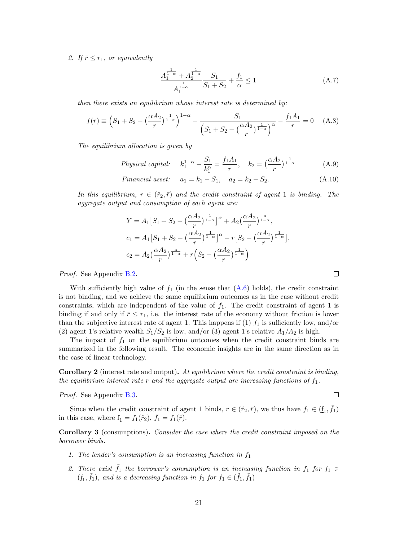2. If  $\bar{r} \leq r_1$ , or equivalently

$$
\frac{A_1^{\frac{1}{1-\alpha}} + A_2^{\frac{1}{1-\alpha}}}{A_1^{\frac{1}{1-\alpha}}} \frac{S_1}{S_1 + S_2} + \frac{f_1}{\alpha} \le 1
$$
\n(A.7)

then there exists an equilibrium whose interest rate is determined by:

$$
f(r) = \left(S_1 + S_2 - \left(\frac{\alpha A_2}{r}\right)^{\frac{1}{1-\alpha}}\right)^{1-\alpha} - \frac{S_1}{\left(S_1 + S_2 - \left(\frac{\alpha A_2}{r}\right)^{\frac{1}{1-\alpha}}\right)^{\alpha}} - \frac{f_1 A_1}{r} = 0 \quad (A.8)
$$

The equilibrium allocation is given by

*Physical capital:* 
$$
k_1^{1-\alpha} - \frac{S_1}{k_1^{\alpha}} = \frac{f_1 A_1}{r}, \quad k_2 = (\frac{\alpha A_2}{r})^{\frac{1}{1-\alpha}}
$$
 (A.9)

Financial asset:  $a_1 = k_1 - S_1$ ,  $a_2 = k_2 - S_2$ . (A.10)

In this equilibrium,  $r \in (\hat{r}_2, \bar{r})$  and the credit constraint of agent 1 is binding. The aggregate output and consumption of each agent are:

$$
Y = A_1 \left[ S_1 + S_2 - \left( \frac{\alpha A_2}{r} \right)^{\frac{1}{1-\alpha}} \right]^\alpha + A_2 \left( \frac{\alpha A_2}{r} \right)^{\frac{\alpha}{1-\alpha}},
$$
  
\n
$$
c_1 = A_1 \left[ S_1 + S_2 - \left( \frac{\alpha A_2}{r} \right)^{\frac{1}{1-\alpha}} \right]^\alpha - r \left[ S_2 - \left( \frac{\alpha A_2}{r} \right)^{\frac{1}{1-\alpha}} \right],
$$
  
\n
$$
c_2 = A_2 \left( \frac{\alpha A_2}{r} \right)^{\frac{\alpha}{1-\alpha}} + r \left( S_2 - \left( \frac{\alpha A_2}{r} \right)^{\frac{1}{1-\alpha}} \right)
$$

Proof. See Appendix B.2.

With sufficiently high value of  $f_1$  (in the sense that  $(A.6)$  holds), the credit constraint is not binding, and we achieve the same equilibrium outcomes as in the case without credit constraints, which are independent of the value of  $f_1$ . The credit constraint of agent 1 is binding if and only if  $\bar{r} \leq r_1$ , i.e. the interest rate of the economy without friction is lower than the subjective interest rate of agent 1. This happens if  $(1)$   $f_1$  is sufficiently low, and/or (2) agent 1's relative wealth  $S_1/S_2$  is low, and/or (3) agent 1's relative  $A_1/A_2$  is high.

The impact of  $f_1$  on the equilibrium outcomes when the credit constraint binds are summarized in the following result. The economic insights are in the same direction as in the case of linear technology.

**Corollary 2** (interest rate and output). At equilibrium where the credit constraint is binding, the equilibrium interest rate r and the aggregate output are increasing functions of  $f_1$ .

Proof. See Appendix B.3.

 $\Box$ 

 $\Box$ 

Since when the credit constraint of agent 1 binds,  $r \in (\hat{r}_2, \bar{r})$ , we thus have  $f_1 \in (\underline{f}_1, \bar{f}_1)$ in this case, where  $\underline{f}_1 = f_1(\hat{r}_2)$ ,  $f_1 = f_1(\bar{r})$ .

Corollary 3 (consumptions). Consider the case where the credit constraint imposed on the borrower binds.

- 1. The lender's consumption is an increasing function in  $f_1$
- 2. There exist  $\tilde{f}_1$  the borrower's consumption is an increasing function in  $f_1$  for  $f_1 \in$  $(f_1, \tilde{f}_1)$ , and is a decreasing function in  $f_1$  for  $f_1 \in (\tilde{f}_1, \bar{f}_1)$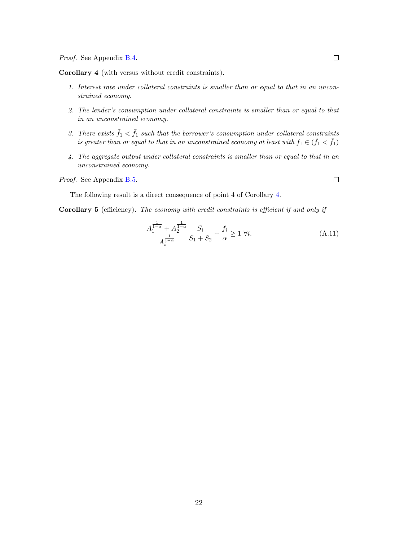Proof. See Appendix B.4.

Corollary 4 (with versus without credit constraints).

- 1. Interest rate under collateral constraints is smaller than or equal to that in an unconstrained economy.
- 2. The lender's consumption under collateral constraints is smaller than or equal to that in an unconstrained economy.
- 3. There exists  $\tilde{f}_1 < \bar{f}_1$  such that the borrower's consumption under collateral constraints is greater than or equal to that in an unconstrained economy at least with  $f_1 \in (\tilde{f}_1 < \bar{f}_1)$
- 4. The aggregate output under collateral constraints is smaller than or equal to that in an unconstrained economy.

Proof. See Appendix B.5.

The following result is a direct consequence of point 4 of Corollary 4.

Corollary 5 (efficiency). The economy with credit constraints is efficient if and only if

$$
\frac{A_1^{\frac{1}{1-\alpha}} + A_2^{\frac{1}{1-\alpha}}}{A_i^{\frac{1}{1-\alpha}}} \frac{S_i}{S_1 + S_2} + \frac{f_i}{\alpha} \ge 1 \ \forall i.
$$
 (A.11)

 $\Box$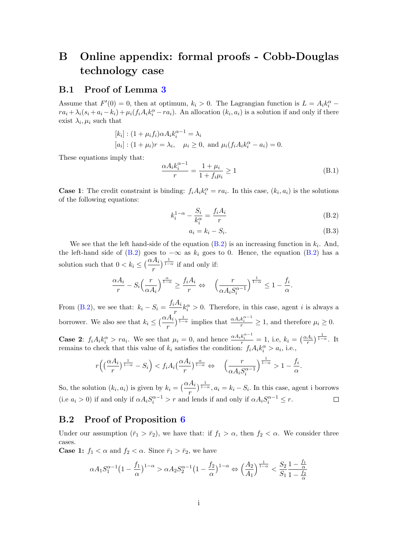# B Online appendix: formal proofs - Cobb-Douglas technology case

### B.1 Proof of Lemma 3

Assume that  $F'(0) = 0$ , then at optimum,  $k_i > 0$ . The Lagrangian function is  $L = A_i k_i^{\alpha}$  –  $ra_i + \lambda_i(s_i + a_i - k_i) + \mu_i(f_i A_i k_i^{\alpha} - ra_i)$ . An allocation  $(k_i, a_i)$  is a solution if and only if there exist  $\lambda_i, \mu_i$  such that

$$
[k_i] : (1 + \mu_i f_i) \alpha A_i k_i^{\alpha - 1} = \lambda_i
$$
  
\n
$$
[a_i] : (1 + \mu_i)r = \lambda_i, \quad \mu_i \ge 0, \text{ and } \mu_i(f_i A_i k_i^{\alpha} - a_i) = 0.
$$

These equations imply that:

$$
\frac{\alpha A_i k_i^{\alpha - 1}}{r} = \frac{1 + \mu_i}{1 + f_i \mu_i} \ge 1
$$
\n(B.1)

**Case 1**: The credit constraint is binding:  $f_i A_i k_i^{\alpha} = ra_i$ . In this case,  $(k_i, a_i)$  is the solutions of the following equations:

$$
k_i^{1-\alpha} - \frac{S_i}{k_i^{\alpha}} = \frac{f_i A_i}{r}
$$
 (B.2)

$$
a_i = k_i - S_i. \tag{B.3}
$$

We see that the left hand-side of the equation  $(B.2)$  is an increasing function in  $k_i$ . And, the left-hand side of  $(B.2)$  goes to  $-\infty$  as  $k_i$  goes to 0. Hence, the equation  $(B.2)$  has a solution such that  $0 < k_i \leq \left(\frac{\alpha A_i}{n}\right)$ r  $\int_{1-\alpha}^{\frac{1}{1-\alpha}}$  if and only if:

$$
\frac{\alpha A_i}{r} - S_i \left(\frac{r}{\alpha A_i}\right)^{\frac{\alpha}{1-\alpha}} \ge \frac{f_i A_i}{r} \Leftrightarrow \left(\frac{r}{\alpha A_i S_i^{\alpha-1}}\right)^{\frac{1}{1-\alpha}} \le 1 - \frac{f_i}{\alpha}.
$$

From (B.2), we see that:  $k_i - S_i = \frac{f_i A_i}{r_i}$  $\frac{d^{i}A_i}{r}k_i^{\alpha} > 0$ . Therefore, in this case, agent *i* is always a borrower. We also see that  $k_i \leq (\frac{\alpha A_i}{n})$ r  $\int_{1-\alpha}^{\frac{1}{1-\alpha}}$  implies that  $\frac{\alpha A_i k_i^{\alpha-1}}{r} \geq 1$ , and therefore  $\mu_i \geq 0$ .

**Case 2:**  $f_i A_i k_i^{\alpha} > r a_i$ . We see that  $\mu_i = 0$ , and hence  $\frac{\alpha A_i k_i^{\alpha-1}}{r} = 1$ , i.e,  $k_i = \left(\frac{\alpha A_i}{r}\right)^{\frac{1}{1-\alpha}}$ . It remains to check that this value of  $k_i$  satisfies the condition:  $f_i A_i k_i^{\alpha} > a_i$ , i.e.,

$$
r\left(\left(\frac{\alpha A_i}{r}\right)^{\frac{1}{1-\alpha}} - S_i\right) < f_i A_i\left(\frac{\alpha A_i}{r}\right)^{\frac{\alpha}{1-\alpha}} \Leftrightarrow \left(\frac{r}{\alpha A_i S_i^{\alpha-1}}\right)^{\frac{1}{1-\alpha}} > 1 - \frac{f_i}{\alpha}.
$$

So, the solution  $(k_i, a_i)$  is given by  $k_i = \left(\frac{\alpha A_i}{n}\right)$  $\int_{0}^{\frac{1}{1-\alpha}}$ ,  $a_i = k_i - S_i$ . In this case, agent i borrows r (i.e  $a_i > 0$ ) if and only if  $\alpha A_i S_i^{\alpha - 1} > r$  and lends if and only if  $\alpha A_i S_i^{\alpha - 1} \le r$ .  $\Box$ 

### B.2 Proof of Proposition 6

Under our assumption  $(\bar{r}_1 > \bar{r}_2)$ , we have that: if  $f_1 > \alpha$ , then  $f_2 < \alpha$ . We consider three cases.

**Case 1:**  $f_1 < \alpha$  and  $f_2 < \alpha$ . Since  $\bar{r}_1 > \bar{r}_2$ , we have

$$
\alpha A_1S_1^{\alpha-1}\big(1-\frac{f_1}{\alpha}\big)^{1-\alpha} > \alpha A_2S_2^{\alpha-1}\big(1-\frac{f_2}{\alpha}\big)^{1-\alpha} \Leftrightarrow \Big(\frac{A_2}{A_1}\Big)^{\frac{1}{1-\alpha}} < \frac{S_2}{S_1}\frac{1-\frac{f_1}{\alpha}}{1-\frac{f_2}{\alpha}}
$$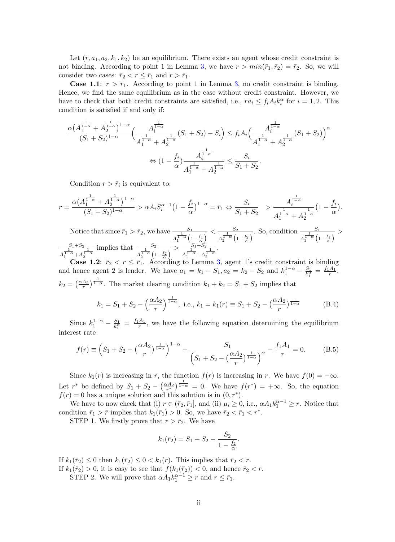Let  $(r, a_1, a_2, k_1, k_2)$  be an equilibrium. There exists an agent whose credit constraint is not binding. According to point 1 in Lemma 3, we have  $r > min(\bar{r}_1, \bar{r}_2) = \bar{r}_2$ . So, we will consider two cases:  $\bar{r}_2 < r \leq \bar{r}_1$  and  $r > \bar{r}_1$ .

**Case 1.1:**  $r > \bar{r}_1$ . According to point 1 in Lemma 3, no credit constraint is binding. Hence, we find the same equilibrium as in the case without credit constraint. However, we have to check that both credit constraints are satisfied, i.e.,  $ra_i \leq f_i A_i k_i^{\alpha}$  for  $i = 1, 2$ . This condition is satisfied if and only if:

$$
\frac{\alpha \left(A_{1}^{\frac{1}{1-\alpha}}+A_{2}^{\frac{1}{1-\alpha}}\right)^{1-\alpha}}{(S_{1}+S_{2})^{1-\alpha}}\Big(\frac{A_{i}^{\frac{1}{1-\alpha}}}{A_{1}^{\frac{1}{1-\alpha}}+A_{2}^{\frac{1}{1-\alpha}}}(S_{1}+S_{2})-S_{i}\Big) \leq f_{i}A_{i}\Big(\frac{A_{i}^{\frac{1}{1-\alpha}}}{A_{1}^{\frac{1}{1-\alpha}}+A_{2}^{\frac{1}{1-\alpha}}}(S_{1}+S_{2})\Big)^{\alpha} \newline \Leftrightarrow (1-\frac{f_{i}}{\alpha})\frac{A_{i}^{\frac{1}{1-\alpha}}}{A_{1}^{\frac{1}{1-\alpha}}+A_{2}^{\frac{1}{1-\alpha}}}\leq \frac{S_{i}}{S_{1}+S_{2}}.
$$

Condition  $r > \bar{r}_i$  is equivalent to:

$$
r = \frac{\alpha \left(A_1^{\frac{1}{1-\alpha}} + A_2^{\frac{1}{1-\alpha}}\right)^{1-\alpha}}{(S_1 + S_2)^{1-\alpha}} > \alpha A_i S_i^{\alpha - 1} \left(1 - \frac{f_i}{\alpha}\right)^{1-\alpha} = \bar{r}_1 \Leftrightarrow \frac{S_i}{S_1 + S_2} > \frac{A_i^{\frac{1}{1-\alpha}}}{A_1^{\frac{1}{1-\alpha}} + A_2^{\frac{1}{1-\alpha}}} \left(1 - \frac{f_i}{\alpha}\right).
$$

Notice that since  $\bar{r}_1 > \bar{r}_2$ , we have  $\frac{S_1}{s}$ A  $\frac{1}{1-\alpha}\left(1-\frac{f_1}{\alpha}\right)$  $\lt -\frac{S_2}{1-\epsilon}$ A  $\frac{\frac{S_2}{1-\alpha}\left(1-\frac{f_2}{\alpha}\right)}{2}$ . So, condition  $\frac{S_1}{A_1^{\frac{1}{1-\alpha}}\left(1-\frac{f_2}{\alpha}\right)}$  $\frac{1}{1-\alpha}\left(1-\frac{f_1}{\alpha}\right)$  $>$  $S_1 + S_2$ A  $\frac{1}{1-\alpha}$  + A  $\frac{1}{1-\alpha}$ implies that  $\frac{S_2}{S_1}$ A  $\frac{1}{1-\alpha}\left(1-\frac{f_2}{\alpha}\right)$  $> -\frac{S_1 + S_2}{1}$ A  $\frac{1}{1-\alpha}$  + A  $\frac{1}{1-\alpha}$ .

**Case 1.2:**  $\bar{r}_2 < r \leq \bar{r}_1$ . According to Lemma 3, agent 1's credit constraint is binding and hence agent 2 is lender. We have  $a_1 = k_1 - S_1$ ,  $a_2 = k_2 - S_2$  and  $k_1^{1-\alpha} - \frac{S_1}{k_1^{\alpha}}$  $\frac{S_1}{k_1^{\alpha}} = \frac{f_1 A_1}{r}$  $\frac{A_1}{r},$  $k_2 = \left(\frac{\alpha A_2}{r}\right)$  $\frac{A_2}{r}$ )<sup>1-α</sup>. The market clearing condition  $k_1 + k_2 = S_1 + S_2$  implies that

$$
k_1 = S_1 + S_2 - \left(\frac{\alpha A_2}{r}\right)^{\frac{1}{1-\alpha}}, \text{ i.e., } k_1 = k_1(r) \equiv S_1 + S_2 - \left(\frac{\alpha A_2}{r}\right)^{\frac{1}{1-\alpha}}
$$
 (B.4)

Since  $k_1^{1-\alpha} - \frac{S_1}{k_1^{\alpha}}$  $\frac{S_1}{k_1^\alpha} = \frac{f_1 A_1}{r}$  $\frac{A_1}{r}$ , we have the following equation determining the equilibrium interest rate

$$
f(r) \equiv \left(S_1 + S_2 - \left(\frac{\alpha A_2}{r}\right)^{\frac{1}{1-\alpha}}\right)^{1-\alpha} - \frac{S_1}{\left(S_1 + S_2 - \left(\frac{\alpha A_2}{r}\right)^{\frac{1}{1-\alpha}}\right)^{\alpha}} - \frac{f_1 A_1}{r} = 0.
$$
 (B.5)

Since  $k_1(r)$  is increasing in r, the function  $f(r)$  is increasing in r. We have  $f(0) = -\infty$ . Let  $r^*$  be defined by  $S_1 + S_2 - \left(\frac{\alpha A_2}{r^*}\right)$  $(\frac{rA_2}{r^*})^{\frac{1}{1-\alpha}} = 0$ . We have  $f(r^*) = +\infty$ . So, the equation  $f(r) = 0$  has a unique solution and this solution is in  $(0, r^*)$ .

We have to now check that (i)  $r \in (\bar{r}_2, \bar{r}_1]$ , and (ii)  $\mu_i \geq 0$ , i.e.,  $\alpha A_1 k_1^{\alpha-1} \geq r$ . Notice that condition  $\bar{r}_1 > \bar{r}$  implies that  $k_1(\bar{r}_1) > 0$ . So, we have  $\bar{r}_2 < \bar{r}_1 < r^*$ .

STEP 1. We firstly prove that  $r > \bar{r}_2$ . We have

$$
k_1(\bar{r}_2) = S_1 + S_2 - \frac{S_2}{1 - \frac{f_2}{\alpha}}.
$$

If  $k_1(\bar{r}_2) \leq 0$  then  $k_1(\bar{r}_2) \leq 0 < k_1(r)$ . This implies that  $\bar{r}_2 < r$ .

If  $k_1(\bar{r}_2) > 0$ , it is easy to see that  $f(k_1(\bar{r}_2)) < 0$ , and hence  $\bar{r}_2 < r$ .

STEP 2. We will prove that  $\alpha A_1 k_1^{\alpha-1} \ge r$  and  $r \le \bar{r}_1$ .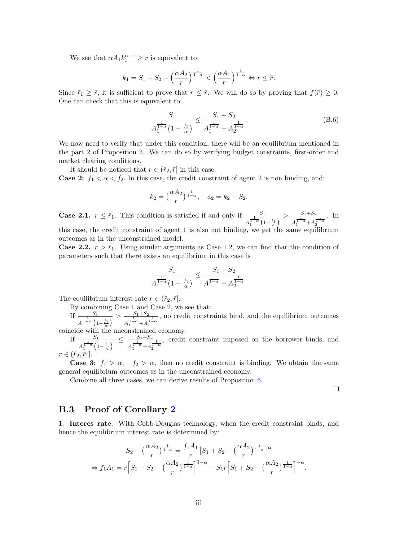We see that  $\alpha A_1 k_1^{\alpha-1} \geq r$  is equivalent to

$$
k_1 = S_1 + S_2 - \left(\frac{\alpha A_2}{r}\right)^{\frac{1}{1-\alpha}} < \left(\frac{\alpha A_1}{r}\right)^{\frac{1}{1-\alpha}} \Leftrightarrow r \leq \bar{r}.
$$

Since  $\bar{r}_1 \geq \bar{r}$ , it is sufficient to prove that  $r \leq \bar{r}$ . We will do so by proving that  $f(\bar{r}) \geq 0$ . One can check that this is equivalent to:

$$
\frac{S_1}{A_1^{\frac{1}{1-\alpha}}(1-\frac{f_1}{\alpha})} \le \frac{S_1+S_2}{A_1^{\frac{1}{1-\alpha}}+A_2^{\frac{1}{1-\alpha}}}.
$$
 (B.6)

We now need to verify that under this condition, there will be an equilibrium mentioned in the part 2 of Proposition 2. We can do so by verifying budget constraints, first-order and market clearing conditions.

It should be noticed that  $r \in (\hat{r}_2, \bar{r}]$  in this case.

**Case 2:**  $f_1 < \alpha < f_2$ . In this case, the credit constraint of agent 2 is non binding, and:

$$
k_2 = \left(\frac{\alpha A_2}{r}\right)^{\frac{1}{1-\alpha}}, \quad a_2 = k_2 - S_2.
$$

**Case 2.1.**  $r \leq \bar{r}_1$ . This condition is satisfied if and only if  $\frac{S_1}{s}$ A  $\frac{1}{1-\alpha}\left(1-\frac{f_1}{\alpha}\right)$  $> -\frac{S_1 + S_2}{1}$ A  $\frac{1}{1-\alpha}$  + A  $\frac{1}{1-\alpha}$ . In this case, the credit constraint of agent 1 is also not binding, we get the same equilibrium outcomes as in the unconstrained model.

**Case 2.2.**  $r > \bar{r}_1$ . Using similar arguments as Case 1.2, we can find that the condition of parameters such that there exists an equilibrium in this case is

$$
\frac{S_1}{A_1^{\frac{1}{1-\alpha}}(1-\frac{f_1}{\alpha})} \le \frac{S_1+S_2}{A_1^{\frac{1}{1-\alpha}}+A_2^{\frac{1}{1-\alpha}}}.
$$

The equilibrium interest rate  $r \in (\hat{r}_2, \bar{r}]$ .

By combining Case 1 and Case 2, we see that:

If  $\frac{S_1}{1}$ A  $\frac{1}{1-\alpha}\left(1-\frac{f_1}{\alpha}\right)$  $> -\frac{S_1 + S_2}{1}$ A  $\frac{1}{1-\alpha}$  + A  $\frac{1}{1-\alpha}$ , no credit constraints bind, and the equilibrium outcomes

coincide with the unconstrained economy.

If  $\frac{S_1}{1}$ A  $\frac{\frac{S_1}{1-\alpha}\left(1-\frac{f_1}{\alpha}\right)}{\frac{1}{A_1^{1-\alpha}}+A_2^{1-\alpha}} \leq \frac{S_1+S_2}{A_1^{1-\alpha}+A_2^{1-\alpha}}$ A  $\frac{1}{1-\alpha}$  + A  $\frac{1}{1-\alpha}$ , credit constraint imposed on the borrower binds, and  $r \in (\hat{r}_2, \bar{r}_1]$ 

**Case 3:**  $f_1 > \alpha$ ,  $f_2 > \alpha$ , then no credit constraint is binding. We obtain the same general equilibrium outcomes as in the unconstrained economy.

Combine all three cases, we can derive results of Proposition 6.

 $\Box$ 

## B.3 Proof of Corollary 2

1. Interes rate. With Cobb-Douglas technology, when the credit constraint binds, and hence the equilibrium interest rate is determined by:

$$
S_2 - \left(\frac{\alpha A_2}{r}\right)^{\frac{1}{1-\alpha}} = \frac{f_1 A_1}{r} \left[S_1 + S_2 - \left(\frac{\alpha A_2}{r}\right)^{\frac{1}{1-\alpha}}\right]^{\alpha}
$$
  

$$
\Leftrightarrow f_1 A_1 = r \left[S_1 + S_2 - \left(\frac{\alpha A_2}{r}\right)^{\frac{1}{1-\alpha}}\right]^{1-\alpha} - S_1 r \left[S_1 + S_2 - \left(\frac{\alpha A_2}{r}\right)^{\frac{1}{1-\alpha}}\right]^{-\alpha}.
$$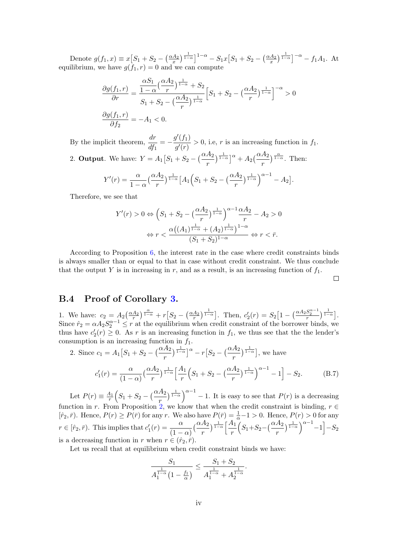Denote  $g(f_1, x) \equiv x\left[S_1 + S_2 - \left(\frac{\alpha A_2}{x}\right)\right]$  $\frac{A_2}{x}\Big)^{\frac{1}{1-\alpha}}$ ]<sup>1- $\alpha$ </sup> -  $S_1x[S_1 + S_2 - (\frac{\alpha A_2}{x})]$  $\left(\frac{A_2}{x}\right)^{\frac{1}{1-\alpha}}$ ]<sup>- $\alpha$ </sup> -  $f_1A_1$ . At equilibrium, we have  $g(f_1, r) = 0$  and we can compute

$$
\frac{\partial g(f_1, r)}{\partial r} = \frac{\frac{\alpha S_1}{1 - \alpha} (\frac{\alpha A_2}{r})^{\frac{1}{1 - \alpha}} + S_2}{S_1 + S_2 - (\frac{\alpha A_2}{r})^{\frac{1}{1 - \alpha}}} \Big[ S_1 + S_2 - (\frac{\alpha A_2}{r})^{\frac{1}{1 - \alpha}} \Big]^{-\alpha} > 0
$$
  

$$
\frac{\partial g(f_1, r)}{\partial f_2} = -A_1 < 0.
$$

By the implicit theorem,  $\frac{dr}{dt}$  $\frac{dr}{df_1} = -\frac{g'(f_1)}{g'(r)}$  $\frac{f'(s)}{g'(r)} > 0$ , i.e, r is an increasing function in  $f_1$ . 2. Output. We have:  $Y = A_1 \left[ S_1 + S_2 - \left( \frac{\alpha A_2}{S_1 + S_2} \right) \right]$ r  $\int^{\frac{1}{1-\alpha}}$ <sup>a</sup> + A<sub>2</sub>( $\frac{\alpha A_2}{a}$ r  $\int_{1-\alpha}^{\alpha}$ . Then:

$$
Y'(r) = \frac{\alpha}{1-\alpha} \left(\frac{\alpha A_2}{r}\right)^{\frac{1}{1-\alpha}} \left[A_1 \left(S_1 + S_2 - \left(\frac{\alpha A_2}{r}\right)^{\frac{1}{1-\alpha}}\right)^{\alpha-1} - A_2\right].
$$

Therefore, we see that

$$
Y'(r) > 0 \Leftrightarrow \left(S_1 + S_2 - \left(\frac{\alpha A_2}{r}\right)^{\frac{1}{1-\alpha}}\right)^{\alpha - 1} \frac{\alpha A_2}{r} - A_2 > 0
$$

$$
\Leftrightarrow r < \frac{\alpha \left((A_1)^{\frac{1}{1-\alpha}} + (A_2)^{\frac{1}{1-\alpha}}\right)^{1-\alpha}}{(S_1 + S_2)^{1-\alpha}} \Leftrightarrow r < \bar{r}.
$$

According to Proposition 6, the interest rate in the case where credit constraints binds is always smaller than or equal to that in case without credit constraint. We thus conclude that the output Y is in increasing in r, and as a result, is an increasing function of  $f_1$ .

 $\Box$ 

### B.4 Proof of Corollary 3.

1. We have:  $c_2 = A_2 \left(\frac{\alpha A_2}{r}\right)$  $\frac{A_2}{r}$ )  $\frac{\alpha}{1-\alpha}$  +  $r\left[S_2-\left(\frac{\alpha A_2}{r}\right)\right]$  $\frac{A_2}{r}\Big)^{\frac{1}{1-\alpha}}$ . Then,  $c'_2(r) = S_2\Big[1 - \left(\frac{\alpha A_2 S_2^{\alpha-1}}{r}\right)^{\frac{1}{1-\alpha}}\Big].$ Since  $\hat{r}_2 = \alpha A_2 S_2^{\alpha-1} \leq r$  at the equilibrium when credit constraint of the borrower binds, we thus have  $c'_2(r) \geq 0$ . As r is an increasing function in  $f_1$ , we thus see that the the lender's consumption is an increasing function in  $f_1$ .

2. Since 
$$
c_1 = A_1 \left[ S_1 + S_2 - \left( \frac{\alpha A_2}{r} \right)^{\frac{1}{1-\alpha}} \right]^\alpha - r \left[ S_2 - \left( \frac{\alpha A_2}{r} \right)^{\frac{1}{1-\alpha}} \right]
$$
, we have  

$$
c'_1(r) = \frac{\alpha}{(1-\alpha)} \left( \frac{\alpha A_2}{r} \right)^{\frac{1}{1-\alpha}} \left[ \frac{A_1}{r} \left( S_1 + S_2 - \left( \frac{\alpha A_2}{r} \right)^{\frac{1}{1-\alpha}} \right)^{\alpha-1} - 1 \right] - S_2.
$$
 (B.7)

Let  $P(r) \equiv \frac{A_1}{r}$  $\frac{A_1}{r}\Bigl(S_1 + S_2 - \bigl(\frac{\alpha A_2}{r}\bigr)$ r  $\left(\frac{1}{1-\alpha}\right)^{\alpha-1}$  - 1. It is easy to see that  $P(r)$  is a decreasing function in r. From Proposition 2, we know that when the credit constraint is binding,  $r \in$  $[\hat{r}_2, \bar{r})$ . Hence,  $P(r) \ge P(\bar{r})$  for any r. We also have  $P(\bar{r}) = \frac{1}{\alpha} - 1 > 0$ . Hence,  $P(r) > 0$  for any  $r \in [\hat{r}_2, \bar{r})$ . This implies that  $c'_1(r) = \frac{\alpha}{(1-\alpha)}$  $\left(\frac{\alpha A_2}{\alpha A_2}\right)$ r  $\frac{1}{1-\alpha}\left[\frac{A_1}{1-\alpha}\right]$ r  $(S_1+S_2-(\frac{\alpha A_2}{r})$ r  $\frac{1}{1-\alpha}$  $\binom{\alpha-1}{-1}$  $-S_2$ is a decreasing function in r when  $r \in (\hat{r}_2, \bar{r})$ .

Let us recall that at equilibrium when credit constraint binds we have:

$$
\frac{S_1}{A_1^{\frac{1}{1-\alpha}}(1-\frac{f_1}{\alpha})} \le \frac{S_1+S_2}{A_1^{\frac{1}{1-\alpha}}+A_2^{\frac{1}{1-\alpha}}}
$$

.